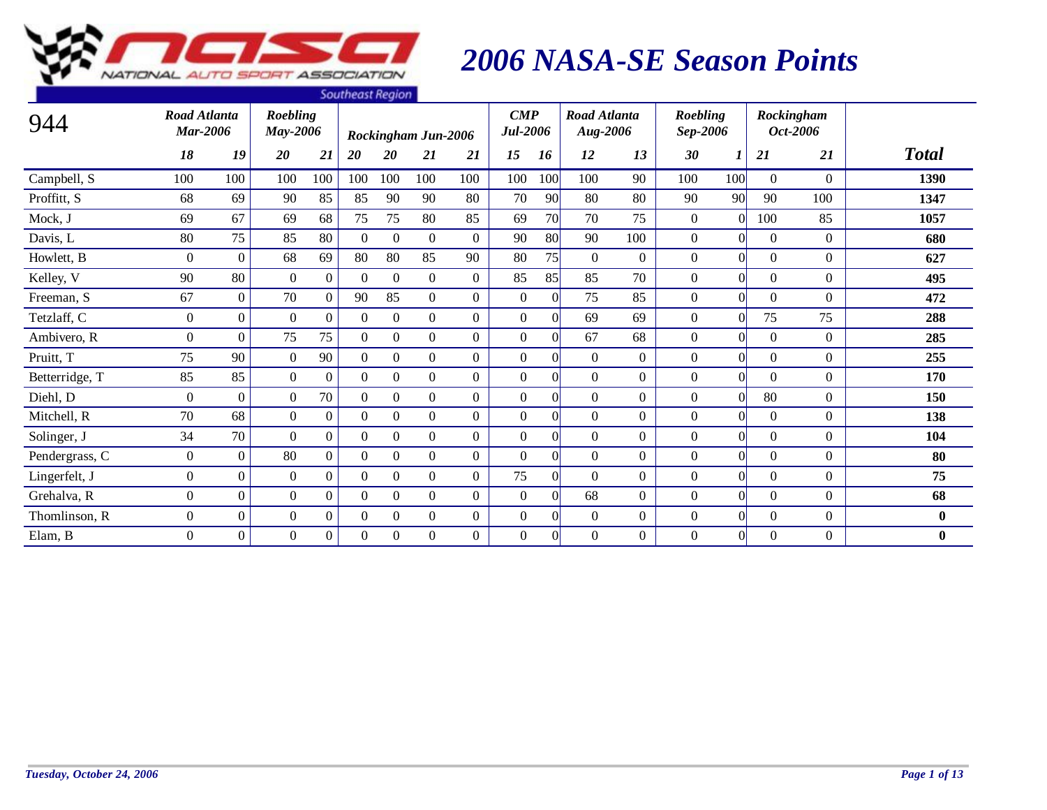

|                |                                        |                  |                      |                  | <b><i><u>Journal Hegion</u></i></b> |                  |                     |                |                                       |          |                                 |                |                      |                |          |                        |              |
|----------------|----------------------------------------|------------------|----------------------|------------------|-------------------------------------|------------------|---------------------|----------------|---------------------------------------|----------|---------------------------------|----------------|----------------------|----------------|----------|------------------------|--------------|
| 944            | <b>Road Atlanta</b><br><b>Mar-2006</b> |                  | Roebling<br>May-2006 |                  |                                     |                  | Rockingham Jun-2006 |                | $\boldsymbol{CMP}$<br><b>Jul-2006</b> |          | <b>Road Atlanta</b><br>Aug-2006 |                | Roebling<br>Sep-2006 |                |          | Rockingham<br>Oct-2006 |              |
|                | 18                                     | 19               | 20                   | 21               | 20                                  | <b>20</b>        | 21                  | 21             | 15                                    | 16       | 12                              | 13             | 30                   |                | 21       | 21                     | <b>Total</b> |
| Campbell, S    | 100                                    | 100              | 100                  | 100              | 100                                 | 100              | 100                 | 100            | 100                                   | 100      | 100                             | 90             | 100                  | 100            | $\Omega$ | $\Omega$               | 1390         |
| Proffitt, S    | 68                                     | 69               | 90                   | 85               | 85                                  | 90               | 90                  | 80             | 70                                    | 90       | 80                              | 80             | 90                   | 90             | 90       | 100                    | 1347         |
| Mock, J        | 69                                     | 67               | 69                   | 68               | 75                                  | 75               | 80                  | 85             | 69                                    | 70       | 70                              | 75             | $\mathbf{0}$         | $\Omega$       | 100      | 85                     | 1057         |
| Davis, L       | 80                                     | 75               | 85                   | 80               | $\theta$                            | $\mathbf{0}$     | $\overline{0}$      | $\Omega$       | 90                                    | 80       | 90                              | 100            | $\mathbf{0}$         | $\Omega$       | $\Omega$ | $\Omega$               | 680          |
| Howlett, B     | $\overline{0}$                         | $\Omega$         | 68                   | 69               | 80                                  | 80               | 85                  | 90             | 80                                    | 75       | $\overline{0}$                  | $\mathbf{0}$   | $\boldsymbol{0}$     | $\Omega$       | $\Omega$ | $\Omega$               | 627          |
| Kelley, V      | 90                                     | 80               | $\overline{0}$       | $\boldsymbol{0}$ | $\Omega$                            | $\theta$         | $\mathbf{0}$        | $\overline{0}$ | 85                                    | 85       | 85                              | 70             | $\boldsymbol{0}$     | $\overline{0}$ | $\Omega$ | $\overline{0}$         | 495          |
| Freeman, S     | 67                                     | $\Omega$         | 70                   | $\overline{0}$   | 90                                  | 85               | $\overline{0}$      | $\overline{0}$ | $\overline{0}$                        | $\Omega$ | 75                              | 85             | $\mathbf{0}$         | $\Omega$       | $\Omega$ | $\Omega$               | 472          |
| Tetzlaff, C    | $\mathbf{0}$                           | $\boldsymbol{0}$ | $\mathbf{0}$         | $\boldsymbol{0}$ | $\Omega$                            | $\mathbf{0}$     | $\overline{0}$      | $\Omega$       | $\mathbf{0}$                          | $\Omega$ | 69                              | 69             | $\mathbf{0}$         | $\theta$       | 75       | 75                     | 288          |
| Ambivero, R    | $\overline{0}$                         | $\overline{0}$   | 75                   | 75               | $\Omega$                            | $\mathbf{0}$     | $\overline{0}$      | $\Omega$       | $\mathbf{0}$                          | $\Omega$ | 67                              | 68             | $\boldsymbol{0}$     | $\Omega$       | $\Omega$ | $\overline{0}$         | 285          |
| Pruitt, T      | 75                                     | 90               | $\overline{0}$       | 90               | $\theta$                            | $\mathbf{0}$     | $\overline{0}$      | $\overline{0}$ | $\overline{0}$                        | $\Omega$ | $\Omega$                        | $\Omega$       | $\mathbf{0}$         | $\Omega$       | $\Omega$ | $\Omega$               | 255          |
| Betterridge, T | 85                                     | 85               | $\overline{0}$       | $\boldsymbol{0}$ | $\theta$                            | $\theta$         | $\overline{0}$      | $\overline{0}$ | $\overline{0}$                        | $\Omega$ | $\overline{0}$                  | $\overline{0}$ | $\mathbf{0}$         | $\Omega$       | $\Omega$ | $\overline{0}$         | 170          |
| Diehl, D       | $\mathbf{0}$                           | $\Omega$         | $\overline{0}$       | 70               | $\theta$                            | $\mathbf{0}$     | $\overline{0}$      | $\Omega$       | $\mathbf{0}$                          | $\Omega$ | $\overline{0}$                  | $\Omega$       | $\mathbf{0}$         | $\Omega$       | 80       | $\overline{0}$         | 150          |
| Mitchell, R    | 70                                     | 68               | $\Omega$             | $\boldsymbol{0}$ | $\Omega$                            | $\mathbf{0}$     | $\overline{0}$      | $\overline{0}$ | $\Omega$                              | $\Omega$ | $\Omega$                        | $\Omega$       | $\boldsymbol{0}$     | $\Omega$       | $\Omega$ | $\Omega$               | 138          |
| Solinger, J    | 34                                     | 70               | $\Omega$             | $\boldsymbol{0}$ | $\Omega$                            | $\theta$         | $\overline{0}$      | $\overline{0}$ | $\Omega$                              | $\Omega$ | $\Omega$                        | $\Omega$       | $\mathbf{0}$         | $\Omega$       | $\Omega$ | $\overline{0}$         | 104          |
| Pendergrass, C | $\mathbf{0}$                           | $\overline{0}$   | 80                   | $\boldsymbol{0}$ | $\Omega$                            | $\mathbf{0}$     | $\overline{0}$      | $\Omega$       | $\mathbf{0}$                          | $\Omega$ | $\overline{0}$                  | $\overline{0}$ | $\boldsymbol{0}$     | $\Omega$       | $\Omega$ | $\overline{0}$         | 80           |
| Lingerfelt, J  | $\overline{0}$                         | $\Omega$         | $\overline{0}$       | $\Omega$         | $\Omega$                            | $\mathbf{0}$     | $\overline{0}$      | $\Omega$       | 75                                    | $\Omega$ | $\Omega$                        | $\overline{0}$ | $\mathbf{0}$         | $\overline{0}$ | $\Omega$ | $\overline{0}$         | 75           |
| Grehalva, R    | $\overline{0}$                         | $\overline{0}$   | $\overline{0}$       | $\boldsymbol{0}$ | $\theta$                            | $\overline{0}$   | $\overline{0}$      | $\overline{0}$ | $\overline{0}$                        | $\Omega$ | 68                              | $\overline{0}$ | $\mathbf{0}$         | $\overline{0}$ | $\Omega$ | $\overline{0}$         | 68           |
| Thomlinson, R  | $\overline{0}$                         | $\overline{0}$   | $\overline{0}$       | $\boldsymbol{0}$ | $\overline{0}$                      | $\boldsymbol{0}$ | $\overline{0}$      | $\overline{0}$ | $\mathbf{0}$                          | $\Omega$ | $\overline{0}$                  | $\overline{0}$ | $\boldsymbol{0}$     | $\Omega$       | $\Omega$ | $\overline{0}$         | $\bf{0}$     |
| Elam, B        | $\Omega$                               | $\Omega$         | $\Omega$             | $\boldsymbol{0}$ | $\Omega$                            | $\mathbf{0}$     | $\boldsymbol{0}$    | $\Omega$       | $\mathbf{0}$                          | $\theta$ | $\Omega$                        | $\mathbf{0}$   | $\boldsymbol{0}$     | $\Omega$       | $\theta$ | $\Omega$               | $\bf{0}$     |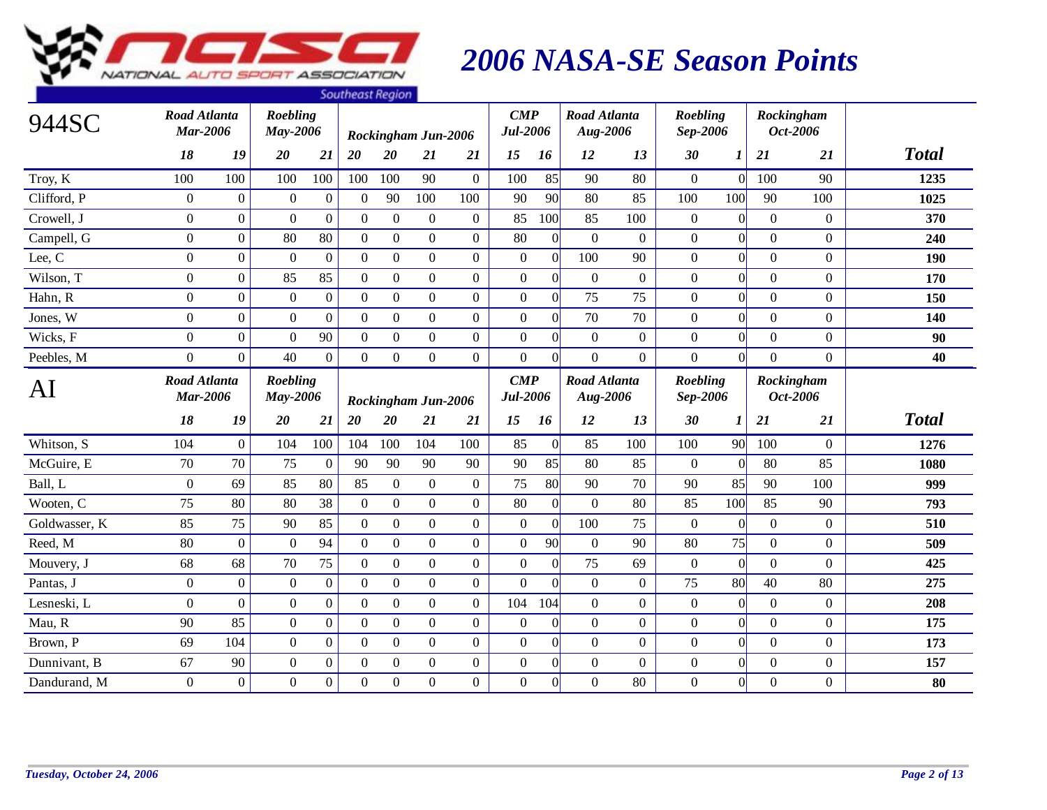

|               |                                        |              |                             |                  | <b><i><u>Journeusenegron</u></i></b> |                  |                     |                  |                                       |                  |                                 |                  |                             |                 |                  |                  |              |
|---------------|----------------------------------------|--------------|-----------------------------|------------------|--------------------------------------|------------------|---------------------|------------------|---------------------------------------|------------------|---------------------------------|------------------|-----------------------------|-----------------|------------------|------------------|--------------|
| 944SC         | Road Atlanta<br><b>Mar-2006</b>        |              | Roebling<br>May-2006        |                  |                                      |                  | Rockingham Jun-2006 |                  | $\boldsymbol{CMP}$<br>Jul-2006        |                  | <b>Road Atlanta</b><br>Aug-2006 |                  | Roebling<br>Sep-2006        |                 | Rockingham       | Oct-2006         |              |
|               | 18                                     | 19           | 20                          | 21               | 20                                   | 20               | 21                  | 21               | 15                                    | 16               | 12                              | 13               | 30                          | 1               | 21               | 21               | <b>Total</b> |
| Troy, K       | 100                                    | 100          | 100                         | 100              | 100                                  | 100              | 90                  | $\overline{0}$   | 100                                   | 85               | 90                              | 80               | $\overline{0}$              | $\Omega$        | 100              | 90               | 1235         |
| Clifford, P   | $\mathbf{0}$                           | $\mathbf{0}$ | $\boldsymbol{0}$            | $\mathbf{0}$     | $\theta$                             | 90               | 100                 | 100              | 90                                    | 90               | 80                              | 85               | 100                         | 100             | 90               | 100              | 1025         |
| Crowell, J    | $\overline{0}$                         | $\Omega$     | $\Omega$                    | $\overline{0}$   | $\mathbf{0}$                         | $\boldsymbol{0}$ | $\overline{0}$      | $\overline{0}$   | 85                                    | 100              | 85                              | 100              | $\mathbf{0}$                | $\Omega$        | $\theta$         | $\boldsymbol{0}$ | 370          |
| Campell, G    | $\overline{0}$                         | $\Omega$     | 80                          | 80               | $\boldsymbol{0}$                     | $\mathbf{0}$     | $\overline{0}$      | $\mathbf{0}$     | 80                                    | $\overline{0}$   | $\overline{0}$                  | $\boldsymbol{0}$ | $\mathbf{0}$                | $\overline{0}$  | $\Omega$         | $\Omega$         | 240          |
| Lee, C        | $\overline{0}$                         | $\Omega$     | $\Omega$                    | $\mathbf{0}$     | $\mathbf{0}$                         | $\boldsymbol{0}$ | $\overline{0}$      | $\mathbf{0}$     | $\mathbf{0}$                          | $\theta$         | 100                             | 90               | $\boldsymbol{0}$            | $\vert 0 \vert$ | $\theta$         | $\mathbf{0}$     | 190          |
| Wilson, T     | $\overline{0}$                         | $\mathbf{0}$ | 85                          | 85               | $\boldsymbol{0}$                     | $\boldsymbol{0}$ | $\boldsymbol{0}$    | $\mathbf{0}$     | $\mathbf{0}$                          | $\overline{0}$   | $\overline{0}$                  | $\overline{0}$   | $\overline{0}$              | $\Omega$        | $\Omega$         | $\overline{0}$   | 170          |
| Hahn, R       | $\boldsymbol{0}$                       | $\mathbf{0}$ | $\mathbf{0}$                | $\overline{0}$   | $\boldsymbol{0}$                     | $\boldsymbol{0}$ | $\overline{0}$      | $\boldsymbol{0}$ | $\boldsymbol{0}$                      | $\theta$         | 75                              | 75               | $\boldsymbol{0}$            | $\vert 0 \vert$ | $\Omega$         | $\mathbf{0}$     | 150          |
| Jones, W      | $\overline{0}$                         | $\mathbf{0}$ | $\boldsymbol{0}$            | $\boldsymbol{0}$ | $\boldsymbol{0}$                     | $\mathbf{0}$     | $\overline{0}$      | $\mathbf{0}$     | $\boldsymbol{0}$                      | $\mathbf{0}$     | 70                              | 70               | $\boldsymbol{0}$            | $\Omega$        | $\Omega$         | $\boldsymbol{0}$ | 140          |
| Wicks, F      | $\overline{0}$                         | $\mathbf{0}$ | $\theta$                    | 90               | $\mathbf{0}$                         | $\boldsymbol{0}$ | $\overline{0}$      | $\boldsymbol{0}$ | $\boldsymbol{0}$                      | $\theta$         | $\overline{0}$                  | $\mathbf{0}$     | $\mathbf{0}$                | $\overline{0}$  | $\Omega$         | $\boldsymbol{0}$ | 90           |
| Peebles, M    | $\Omega$                               | $\Omega$     | 40                          | $\overline{0}$   | $\Omega$                             | $\boldsymbol{0}$ | $\Omega$            | $\mathbf{0}$     | $\boldsymbol{0}$                      | $\theta$         | $\Omega$                        | $\Omega$         | $\Omega$                    | $\Omega$        | $\Omega$         | $\Omega$         | 40           |
| AI            | <b>Road Atlanta</b><br><b>Mar-2006</b> |              | <b>Roebling</b><br>May-2006 |                  |                                      |                  | Rockingham Jun-2006 |                  | $\boldsymbol{CMP}$<br><b>Jul-2006</b> |                  | <b>Road Atlanta</b><br>Aug-2006 |                  | <b>Roebling</b><br>Sep-2006 |                 | Rockingham       | Oct-2006         |              |
|               | 18                                     | 19           | 20                          | 21               | 20                                   | 20               | 21                  | 21               | 15                                    | 16               | 12                              | 13               | 30                          | 1               | 21               | 21               | <b>Total</b> |
| Whitson, S    | 104                                    | $\mathbf{0}$ | 104                         | 100              | 104                                  | 100              | 104                 | 100              | 85                                    | $\Omega$         | 85                              | 100              | 100                         | 90              | 100              | $\Omega$         | 1276         |
| McGuire, E    | 70                                     | 70           | 75                          | $\mathbf{0}$     | 90                                   | 90               | 90                  | 90               | 90                                    | 85               | 80                              | 85               | $\mathbf{0}$                | $\Omega$        | 80               | 85               | 1080         |
| Ball, L       | $\overline{0}$                         | 69           | 85                          | 80               | 85                                   | $\boldsymbol{0}$ | $\mathbf{0}$        | $\overline{0}$   | 75                                    | 80               | 90                              | 70               | 90                          | 85              | 90               | 100              | 999          |
| Wooten, C     | 75                                     | 80           | 80                          | 38               | $\boldsymbol{0}$                     | $\mathbf{0}$     | $\mathbf{0}$        | $\boldsymbol{0}$ | 80                                    | $\mathbf{0}$     | $\overline{0}$                  | 80               | 85                          | 100             | 85               | 90               | 793          |
| Goldwasser, K | 85                                     | 75           | 90                          | 85               | $\mathbf{0}$                         | $\mathbf{0}$     | $\overline{0}$      | $\mathbf{0}$     | $\boldsymbol{0}$                      | $\boldsymbol{0}$ | 100                             | 75               | $\boldsymbol{0}$            | $\Omega$        | $\Omega$         | $\boldsymbol{0}$ | 510          |
| Reed, M       | 80                                     | $\theta$     | $\mathbf{0}$                | 94               | $\boldsymbol{0}$                     | $\boldsymbol{0}$ | $\mathbf{0}$        | $\boldsymbol{0}$ | $\boldsymbol{0}$                      | 90               | $\overline{0}$                  | 90               | 80                          | 75              | $\overline{0}$   | $\boldsymbol{0}$ | 509          |
| Mouvery, J    | 68                                     | 68           | 70                          | 75               | $\boldsymbol{0}$                     | $\mathbf{0}$     | $\overline{0}$      | $\boldsymbol{0}$ | $\boldsymbol{0}$                      | $\mathbf{0}$     | 75                              | 69               | $\boldsymbol{0}$            | $\Omega$        | $\boldsymbol{0}$ | $\Omega$         | 425          |
| Pantas, J     | $\overline{0}$                         | $\theta$     | $\mathbf{0}$                | $\overline{0}$   | $\boldsymbol{0}$                     | $\boldsymbol{0}$ | $\overline{0}$      | $\boldsymbol{0}$ | $\mathbf{0}$                          | $\Omega$         | $\overline{0}$                  | $\mathbf{0}$     | 75                          | 80              | 40               | 80               | 275          |
| Lesneski, L   | $\overline{0}$                         | $\Omega$     | $\boldsymbol{0}$            | $\overline{0}$   | $\boldsymbol{0}$                     | $\mathbf{0}$     | $\overline{0}$      | $\mathbf{0}$     | 104                                   | 104              | $\overline{0}$                  | $\overline{0}$   | $\mathbf{0}$                | $\Omega$        | $\Omega$         | $\boldsymbol{0}$ | 208          |
| Mau, R        | 90                                     | 85           | $\mathbf{0}$                | $\overline{0}$   | $\boldsymbol{0}$                     | $\boldsymbol{0}$ | $\overline{0}$      | $\boldsymbol{0}$ | $\boldsymbol{0}$                      | $\theta$         | $\overline{0}$                  | $\overline{0}$   | $\mathbf{0}$                | $\overline{0}$  | $\theta$         | $\boldsymbol{0}$ | 175          |
| Brown, P      | 69                                     | 104          | $\overline{0}$              | $\overline{0}$   | $\mathbf{0}$                         | $\boldsymbol{0}$ | $\overline{0}$      | $\mathbf{0}$     | $\mathbf{0}$                          | $\mathbf{0}$     | $\overline{0}$                  | $\overline{0}$   | $\mathbf{0}$                | $\Omega$        | $\overline{0}$   | $\boldsymbol{0}$ | 173          |
| Dunnivant, B  | 67                                     | 90           | $\boldsymbol{0}$            | $\overline{0}$   | $\Omega$                             | $\mathbf{0}$     | $\overline{0}$      | $\boldsymbol{0}$ | $\boldsymbol{0}$                      | $\theta$         | $\theta$                        | $\boldsymbol{0}$ | $\boldsymbol{0}$            | $\overline{0}$  | $\Omega$         | $\mathbf{0}$     | 157          |
| Dandurand, M  | $\mathbf{0}$                           | $\mathbf{0}$ | $\overline{0}$              | $\overline{0}$   | $\boldsymbol{0}$                     | $\overline{0}$   | $\Omega$            | $\boldsymbol{0}$ | $\mathbf{0}$                          | $\theta$         | $\Omega$                        | 80               | $\boldsymbol{0}$            | $\Omega$        | $\Omega$         | $\Omega$         | 80           |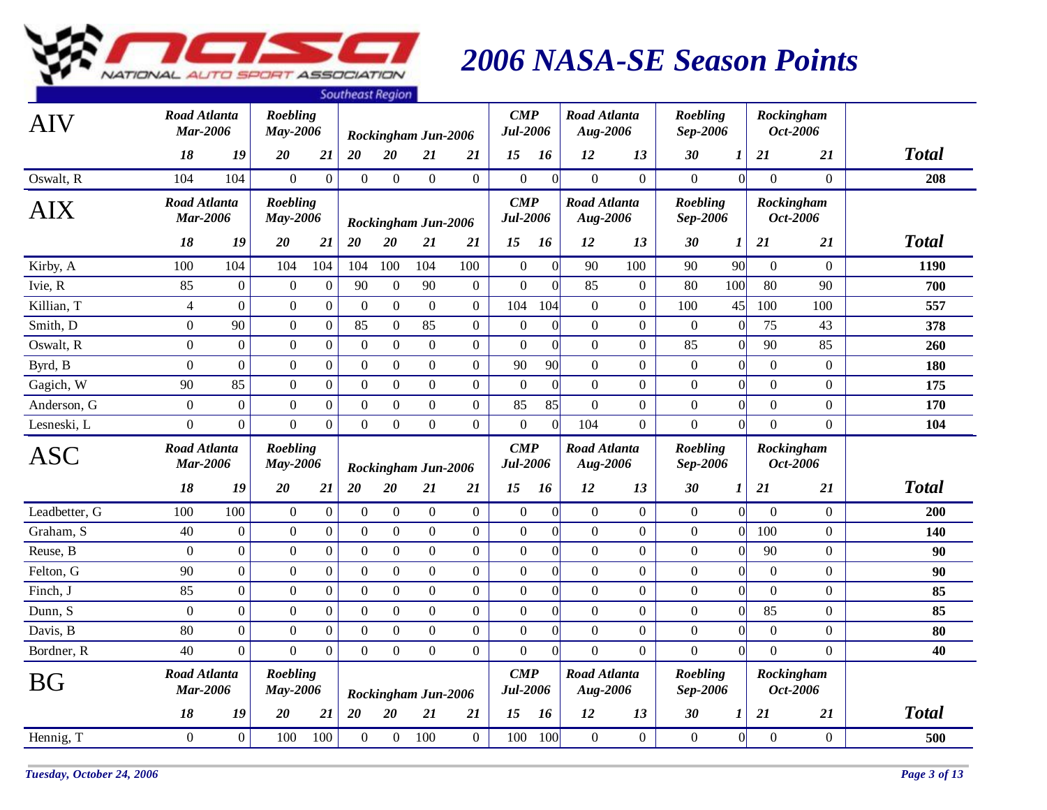

|               |                                        |                  |                             |                  | <b>Pourineuse negron</b> |                  |                     |                  |                                       |                 |                                 |                  |                             |                 |                  |                        |              |
|---------------|----------------------------------------|------------------|-----------------------------|------------------|--------------------------|------------------|---------------------|------------------|---------------------------------------|-----------------|---------------------------------|------------------|-----------------------------|-----------------|------------------|------------------------|--------------|
| <b>AIV</b>    | Road Atlanta<br><b>Mar-2006</b>        |                  | Roebling<br>May-2006        |                  |                          |                  | Rockingham Jun-2006 |                  | $\boldsymbol{CMP}$<br><b>Jul-2006</b> |                 | <b>Road Atlanta</b><br>Aug-2006 |                  | Roebling<br>Sep-2006        |                 |                  | Rockingham<br>Oct-2006 |              |
|               | 18                                     | 19               | 20                          | 21               | 20                       | $20\,$           | 21                  | <b>21</b>        | 15                                    | 16              | 12                              | 13               | 30                          | 1               | 21               | 21                     | <b>Total</b> |
| Oswalt, R     | 104                                    | 104              | $\overline{0}$              | $\overline{0}$   | $\mathbf{0}$             | $\overline{0}$   | $\overline{0}$      | $\mathbf{0}$     | $\mathbf{0}$                          | $\Omega$        | $\theta$                        | $\overline{0}$   | $\boldsymbol{0}$            | $\overline{0}$  | $\theta$         | $\overline{0}$         | 208          |
| <b>AIX</b>    | <b>Road Atlanta</b><br><b>Mar-2006</b> |                  | <b>Roebling</b><br>May-2006 |                  |                          |                  | Rockingham Jun-2006 |                  | $\mathbf{CMP}$<br><b>Jul-2006</b>     |                 | <b>Road Atlanta</b><br>Aug-2006 |                  | <b>Roebling</b><br>Sep-2006 |                 |                  | Rockingham<br>Oct-2006 |              |
|               | 18                                     | 19               | 20                          | 21               | 20                       | $20\,$           | 21                  | 21               | 15                                    | 16              | 12                              | 13               | 30                          | 1               | 21               | 21                     | <b>Total</b> |
| Kirby, A      | 100                                    | 104              | 104                         | 104              | 104                      | 100              | 104                 | 100              | $\boldsymbol{0}$                      | $\vert 0 \vert$ | 90                              | 100              | 90                          | 90              | $\overline{0}$   | $\overline{0}$         | 1190         |
| Ivie, R       | 85                                     | $\mathbf{0}$     | $\overline{0}$              | $\boldsymbol{0}$ | 90                       | $\overline{0}$   | 90                  | $\mathbf{0}$     | $\overline{0}$                        | $\Omega$        | 85                              | $\boldsymbol{0}$ | 80                          | 100             | 80               | 90                     | 700          |
| Killian, T    | $\overline{4}$                         | $\boldsymbol{0}$ | $\overline{0}$              | $\overline{0}$   | $\boldsymbol{0}$         | $\boldsymbol{0}$ | $\boldsymbol{0}$    | $\boldsymbol{0}$ | 104                                   | 104             | $\mathbf{0}$                    | $\mathbf{0}$     | 100                         | 45              | 100              | 100                    | 557          |
| Smith, D      | $\boldsymbol{0}$                       | 90               | $\overline{0}$              | $\overline{0}$   | 85                       | $\overline{0}$   | 85                  | $\boldsymbol{0}$ | $\boldsymbol{0}$                      | $\vert 0 \vert$ | $\mathbf{0}$                    | $\mathbf{0}$     | $\boldsymbol{0}$            | $\vert 0 \vert$ | 75               | 43                     | 378          |
| Oswalt, R     | $\overline{0}$                         | $\mathbf{0}$     | $\overline{0}$              | $\boldsymbol{0}$ | $\boldsymbol{0}$         | $\boldsymbol{0}$ | $\boldsymbol{0}$    | $\boldsymbol{0}$ | $\overline{0}$                        | $\vert 0 \vert$ | $\mathbf{0}$                    | $\mathbf{0}$     | 85                          | $\vert 0 \vert$ | 90               | 85                     | 260          |
| Byrd, B       | $\mathbf{0}$                           | $\overline{0}$   | $\overline{0}$              | $\overline{0}$   | $\boldsymbol{0}$         | $\boldsymbol{0}$ | $\boldsymbol{0}$    | $\boldsymbol{0}$ | 90                                    | 90              | $\overline{0}$                  | $\overline{0}$   | $\mathbf{0}$                | $\vert 0 \vert$ | $\theta$         | $\boldsymbol{0}$       | 180          |
| Gagich, W     | 90                                     | 85               | $\Omega$                    | $\mathbf{0}$     | $\boldsymbol{0}$         | $\overline{0}$   | $\mathbf{0}$        | $\boldsymbol{0}$ | $\Omega$                              | $\vert 0 \vert$ | $\overline{0}$                  | $\overline{0}$   | $\boldsymbol{0}$            | $\vert 0 \vert$ | $\overline{0}$   | $\overline{0}$         | 175          |
| Anderson, G   | $\boldsymbol{0}$                       | $\mathbf{0}$     | $\overline{0}$              | $\overline{0}$   | $\mathbf{0}$             | $\overline{0}$   | $\boldsymbol{0}$    | $\mathbf{0}$     | 85                                    | 85              | $\mathbf{0}$                    | $\mathbf{0}$     | $\mathbf{0}$                | $\vert 0 \vert$ | $\Omega$         | $\boldsymbol{0}$       | 170          |
| Lesneski, L   | $\overline{0}$                         | $\overline{0}$   | $\overline{0}$              | $\overline{0}$   | $\boldsymbol{0}$         | $\overline{0}$   | $\boldsymbol{0}$    | $\boldsymbol{0}$ | $\overline{0}$                        | $\Omega$        | 104                             | $\mathbf{0}$     | $\overline{0}$              | 0               | $\overline{0}$   | $\overline{0}$         | 104          |
| <b>ASC</b>    | <b>Road Atlanta</b><br><b>Mar-2006</b> |                  | Roebling<br>May-2006        |                  |                          |                  | Rockingham Jun-2006 |                  | $\mathbf{CMP}$<br><b>Jul-2006</b>     |                 | <b>Road Atlanta</b><br>Aug-2006 |                  | Roebling<br>Sep-2006        |                 |                  | Rockingham<br>Oct-2006 |              |
|               | 18                                     | 19               | 20                          | 21               | 20                       | 20               | 21                  | <b>21</b>        | 15                                    | 16              | 12                              | 13               | 30                          | 1               | 21               | <b>21</b>              | <b>Total</b> |
| Leadbetter, G | 100                                    | 100              | $\overline{0}$              | $\mathbf{0}$     | $\overline{0}$           | $\overline{0}$   | $\mathbf{0}$        | $\boldsymbol{0}$ | $\boldsymbol{0}$                      | $\vert 0 \vert$ | $\overline{0}$                  | $\mathbf{0}$     | $\boldsymbol{0}$            | 0               | $\theta$         | $\overline{0}$         | 200          |
| Graham, S     | 40                                     | $\boldsymbol{0}$ | $\boldsymbol{0}$            | $\overline{0}$   | $\overline{0}$           | $\overline{0}$   | $\mathbf{0}$        | $\mathbf{0}$     | $\mathbf{0}$                          | $\Omega$        | $\theta$                        | $\overline{0}$   | $\mathbf{0}$                | $\vert 0 \vert$ | 100              | $\overline{0}$         | 140          |
| Reuse, B      | $\boldsymbol{0}$                       | $\mathbf{0}$     | $\overline{0}$              | $\overline{0}$   | $\boldsymbol{0}$         | $\boldsymbol{0}$ | $\mathbf{0}$        | $\boldsymbol{0}$ | $\boldsymbol{0}$                      | $\vert 0 \vert$ | $\boldsymbol{0}$                | $\overline{0}$   | $\boldsymbol{0}$            | $\vert 0 \vert$ | 90               | $\boldsymbol{0}$       | 90           |
| Felton, G     | 90                                     | $\mathbf{0}$     | $\overline{0}$              | $\overline{0}$   | $\boldsymbol{0}$         | $\overline{0}$   | $\boldsymbol{0}$    | $\boldsymbol{0}$ | $\boldsymbol{0}$                      | $\vert 0 \vert$ | $\boldsymbol{0}$                | $\overline{0}$   | $\boldsymbol{0}$            | $\vert 0 \vert$ | $\boldsymbol{0}$ | $\boldsymbol{0}$       | 90           |
| Finch, J      | 85                                     | $\mathbf{0}$     | $\overline{0}$              | $\overline{0}$   | $\boldsymbol{0}$         | $\overline{0}$   | $\mathbf{0}$        | $\mathbf{0}$     | $\overline{0}$                        | $\overline{0}$  | $\mathbf{0}$                    | $\mathbf{0}$     | $\overline{0}$              | $\vert 0 \vert$ | $\overline{0}$   | $\overline{0}$         | 85           |
| Dunn, S       | $\boldsymbol{0}$                       | $\mathbf{0}$     | $\overline{0}$              | $\boldsymbol{0}$ | $\mathbf{0}$             | $\boldsymbol{0}$ | $\boldsymbol{0}$    | $\boldsymbol{0}$ | $\boldsymbol{0}$                      | $\overline{0}$  | $\mathbf{0}$                    | $\overline{0}$   | $\mathbf{0}$                | $\vert 0 \vert$ | 85               | $\boldsymbol{0}$       | 85           |
| Davis, B      | 80                                     | $\boldsymbol{0}$ | $\boldsymbol{0}$            | $\boldsymbol{0}$ | $\boldsymbol{0}$         | $\overline{0}$   | $\boldsymbol{0}$    | $\boldsymbol{0}$ | $\boldsymbol{0}$                      | $\vert 0 \vert$ | $\mathbf{0}$                    | $\mathbf{0}$     | $\boldsymbol{0}$            | $\vert 0 \vert$ | $\boldsymbol{0}$ | $\boldsymbol{0}$       | 80           |
| Bordner, R    | 40                                     | $\Omega$         | $\overline{0}$              | $\overline{0}$   | $\boldsymbol{0}$         | $\overline{0}$   | $\mathbf{0}$        | $\overline{0}$   | $\overline{0}$                        | $\overline{0}$  | $\overline{0}$                  | $\overline{0}$   | $\overline{0}$              | $\vert 0 \vert$ | $\Omega$         | $\overline{0}$         | 40           |
| <b>BG</b>     | <b>Road Atlanta</b><br><b>Mar-2006</b> |                  | <b>Roebling</b><br>May-2006 |                  |                          |                  | Rockingham Jun-2006 |                  | $\boldsymbol{CMP}$<br>Jul-2006        |                 | <b>Road Atlanta</b><br>Aug-2006 |                  | Roebling<br>Sep-2006        |                 |                  | Rockingham<br>Oct-2006 |              |
|               | 18                                     | 19               | 20                          | 21               | 20                       | 20               | 21                  | 21               | 15                                    | 16              | 12                              | 13               | 30                          | 1               | 21               | 21                     | <b>Total</b> |
| Hennig, T     | $\overline{0}$                         | $\mathbf{0}$     | 100                         | 100              | $\mathbf{0}$             | $\overline{0}$   | 100                 | $\mathbf{0}$     | 100                                   | 100             | $\overline{0}$                  | $\overline{0}$   | $\mathbf{0}$                | $\overline{0}$  | $\theta$         | $\overline{0}$         | 500          |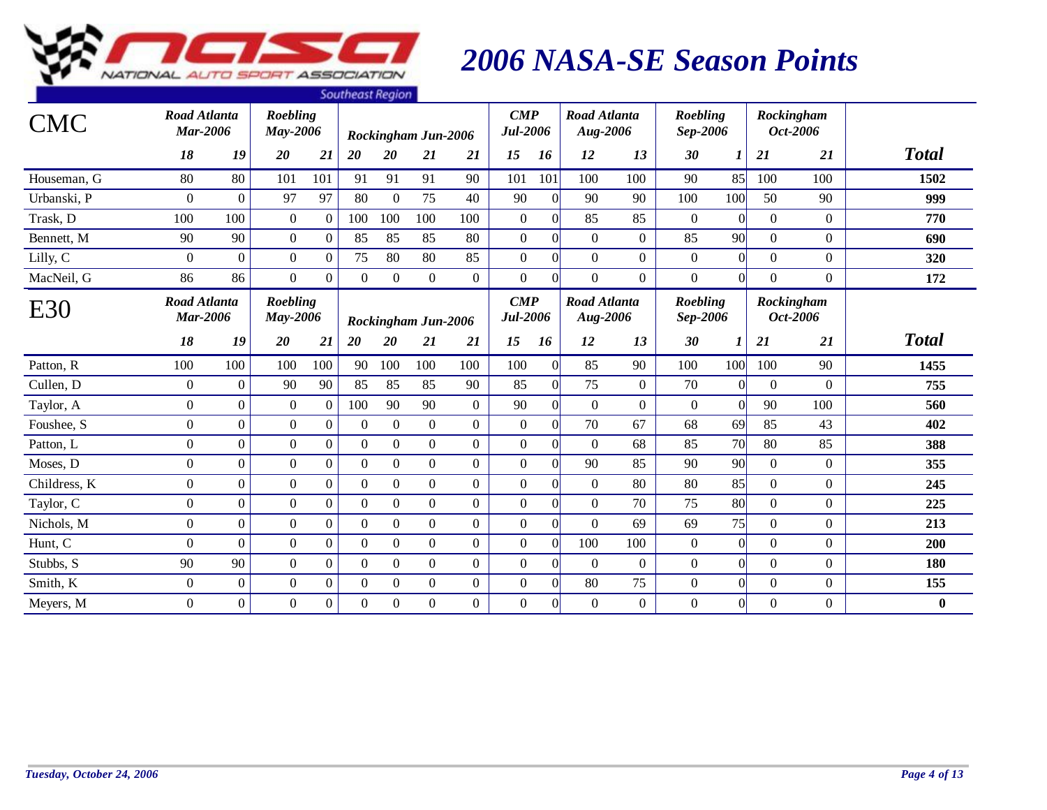

|              |                                        |                  |                             |                  | <b><i><u>JUULIEUSENEYIUIT</u></i></b> |                  |                     |                  |                                       |                 |                                 |                  |                             |                  |                |                        |              |
|--------------|----------------------------------------|------------------|-----------------------------|------------------|---------------------------------------|------------------|---------------------|------------------|---------------------------------------|-----------------|---------------------------------|------------------|-----------------------------|------------------|----------------|------------------------|--------------|
| <b>CMC</b>   | <b>Road Atlanta</b><br><b>Mar-2006</b> |                  | Roebling<br>May-2006        |                  |                                       |                  | Rockingham Jun-2006 |                  | $\boldsymbol{CMP}$<br><b>Jul-2006</b> |                 | <b>Road Atlanta</b><br>Aug-2006 |                  | Roebling<br>Sep-2006        |                  |                | Rockingham<br>Oct-2006 |              |
|              | 18                                     | 19               | 20                          | 21               | 20                                    | 20               | 21                  | 21               | 15                                    | 16              | 12                              | 13               | 30                          | $\boldsymbol{l}$ | 21             | 21                     | <b>Total</b> |
| Houseman, G  | 80                                     | 80               | 101                         | 101              | 91                                    | 91               | 91                  | 90               | 101                                   | 101             | 100                             | 100              | 90                          | 85               | 100            | 100                    | 1502         |
| Urbanski, P  | $\overline{0}$                         | $\overline{0}$   | 97                          | 97               | 80                                    | $\mathbf{0}$     | 75                  | 40               | 90                                    | $\overline{0}$  | 90                              | 90               | 100                         | 100              | 50             | 90                     | 999          |
| Trask, D     | 100                                    | 100              | $\overline{0}$              | $\theta$         | 100                                   | 100              | 100                 | 100              | $\mathbf{0}$                          | $\vert$ 0       | 85                              | 85               | $\boldsymbol{0}$            | $\Omega$         | $\Omega$       | $\overline{0}$         | 770          |
| Bennett, M   | 90                                     | 90               | $\overline{0}$              | $\boldsymbol{0}$ | 85                                    | 85               | 85                  | 80               | $\mathbf{0}$                          | $\vert 0 \vert$ | $\overline{0}$                  | $\mathbf{0}$     | 85                          | 90               | $\overline{0}$ | $\overline{0}$         | 690          |
| Lilly, C     | $\overline{0}$                         | $\boldsymbol{0}$ | $\overline{0}$              | $\mathbf{0}$     | 75                                    | 80               | 80                  | 85               | $\mathbf{0}$                          | $\overline{0}$  | $\overline{0}$                  | $\overline{0}$   | $\boldsymbol{0}$            | $\Omega$         | $\overline{0}$ | $\overline{0}$         | 320          |
| MacNeil, G   | 86                                     | 86               | $\overline{0}$              | $\boldsymbol{0}$ | $\boldsymbol{0}$                      | $\boldsymbol{0}$ | $\mathbf{0}$        | $\boldsymbol{0}$ | $\mathbf{0}$                          | $\overline{0}$  | $\overline{0}$                  | $\boldsymbol{0}$ | $\boldsymbol{0}$            | $\Omega$         | $\overline{0}$ | $\overline{0}$         | 172          |
| E30          | Road Atlanta<br><b>Mar-2006</b>        |                  | <b>Roebling</b><br>May-2006 |                  |                                       |                  | Rockingham Jun-2006 |                  | $\boldsymbol{CMP}$<br><b>Jul-2006</b> |                 | <b>Road Atlanta</b><br>Aug-2006 |                  | <b>Roebling</b><br>Sep-2006 |                  |                | Rockingham<br>Oct-2006 |              |
|              | 18                                     | 19               | 20                          | 21               | 20                                    | 20               | 21                  | 21               | 15                                    | 16              | 12                              | 13               | 30                          |                  | 21             | 21                     | <b>Total</b> |
| Patton, R    | 100                                    | 100              | 100                         | 100              | 90                                    | 100              | 100                 | 100              | 100                                   | $\vert 0 \vert$ | 85                              | 90               | 100                         | 100              | 100            | 90                     | 1455         |
| Cullen, D    | $\Omega$                               | $\Omega$         | 90                          | 90               | 85                                    | 85               | 85                  | 90               | 85                                    | $\Omega$        | 75                              | $\overline{0}$   | 70                          | $\Omega$         | $\Omega$       | $\Omega$               | 755          |
| Taylor, A    | $\Omega$                               | $\Omega$         | $\overline{0}$              | $\overline{0}$   | 100                                   | 90               | 90                  | $\overline{0}$   | 90                                    | $\vert 0 \vert$ | $\Omega$                        | $\overline{0}$   | $\boldsymbol{0}$            | $\theta$         | 90             | 100                    | 560          |
| Foushee, S   | $\overline{0}$                         | $\Omega$         | $\overline{0}$              | $\mathbf{0}$     | $\theta$                              | $\mathbf{0}$     | $\overline{0}$      | $\overline{0}$   | $\mathbf{0}$                          | $\vert 0 \vert$ | 70                              | 67               | 68                          | 69               | 85             | 43                     | 402          |
| Patton, L    | $\overline{0}$                         | $\Omega$         | $\overline{0}$              | $\overline{0}$   | $\theta$                              | $\mathbf{0}$     | $\overline{0}$      | $\overline{0}$   | $\overline{0}$                        | $\Omega$        | $\Omega$                        | 68               | 85                          | 70               | 80             | 85                     | 388          |
| Moses, D     | $\overline{0}$                         | $\overline{0}$   | $\overline{0}$              | $\overline{0}$   | $\boldsymbol{0}$                      | $\mathbf{0}$     | $\overline{0}$      | $\mathbf{0}$     | $\mathbf{0}$                          | $\vert 0 \vert$ | 90                              | 85               | 90                          | 90               | $\overline{0}$ | $\overline{0}$         | 355          |
| Childress, K | $\mathbf{0}$                           | $\overline{0}$   | $\overline{0}$              | $\boldsymbol{0}$ | $\Omega$                              | $\boldsymbol{0}$ | $\mathbf{0}$        | $\mathbf{0}$     | $\mathbf{0}$                          | $\vert 0 \vert$ | $\mathbf{0}$                    | 80               | 80                          | 85               | $\Omega$       | $\overline{0}$         | 245          |
| Taylor, C    | $\Omega$                               | $\Omega$         | $\overline{0}$              | $\boldsymbol{0}$ | $\Omega$                              | $\mathbf{0}$     | $\overline{0}$      | $\mathbf{0}$     | $\mathbf{0}$                          | $\vert 0 \vert$ | $\overline{0}$                  | 70               | 75                          | 80               | $\overline{0}$ | $\Omega$               | 225          |
| Nichols, M   | $\boldsymbol{0}$                       | $\overline{0}$   | $\overline{0}$              | $\boldsymbol{0}$ | $\Omega$                              | $\mathbf{0}$     | $\overline{0}$      | $\mathbf{0}$     | $\mathbf{0}$                          | $\Omega$        | $\overline{0}$                  | 69               | 69                          | 75               | $\overline{0}$ | $\overline{0}$         | 213          |
| Hunt, C      | $\overline{0}$                         | $\Omega$         | $\overline{0}$              | $\boldsymbol{0}$ | $\theta$                              | $\mathbf{0}$     | $\mathbf{0}$        | $\overline{0}$   | $\overline{0}$                        | $\Omega$        | 100                             | 100              | $\boldsymbol{0}$            | $\Omega$         | $\overline{0}$ | $\overline{0}$         | 200          |
| Stubbs, S    | 90                                     | 90               | $\overline{0}$              | $\overline{0}$   | $\Omega$                              | $\mathbf{0}$     | $\overline{0}$      | $\overline{0}$   | $\mathbf{0}$                          | $\Omega$        | $\Omega$                        | $\boldsymbol{0}$ | $\boldsymbol{0}$            | $\Omega$         | $\Omega$       | $\overline{0}$         | 180          |
| Smith, K     | $\overline{0}$                         | $\overline{0}$   | $\overline{0}$              | $\overline{0}$   | $\overline{0}$                        | $\mathbf{0}$     | $\overline{0}$      | $\overline{0}$   | $\mathbf{0}$                          | $\vert 0 \vert$ | 80                              | 75               | $\boldsymbol{0}$            | $\overline{0}$   | $\overline{0}$ | $\overline{0}$         | 155          |
| Meyers, M    | $\overline{0}$                         | $\overline{0}$   | $\overline{0}$              | $\boldsymbol{0}$ | $\theta$                              | $\overline{0}$   | $\overline{0}$      | $\overline{0}$   | $\overline{0}$                        | $\Omega$        | $\overline{0}$                  | $\boldsymbol{0}$ | $\boldsymbol{0}$            | $\Omega$         | $\overline{0}$ | $\overline{0}$         | $\bf{0}$     |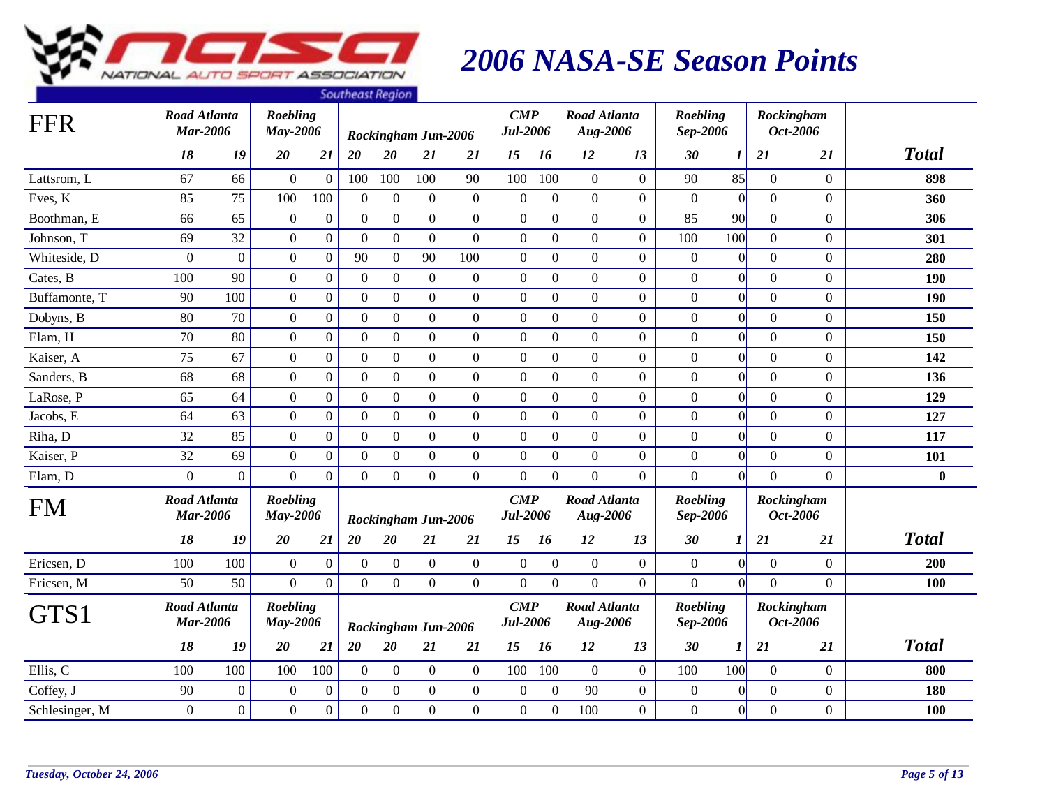

|                |                                        |                  |                             |                  | <b><i><u>JUULIEUSLINEYIUIT</u></i></b> |                  |                     |                  |                                       |                  |                                 |                |                      |                 |                  |                  |              |
|----------------|----------------------------------------|------------------|-----------------------------|------------------|----------------------------------------|------------------|---------------------|------------------|---------------------------------------|------------------|---------------------------------|----------------|----------------------|-----------------|------------------|------------------|--------------|
| <b>FFR</b>     | <b>Road Atlanta</b><br><b>Mar-2006</b> |                  | Roebling<br>May-2006        |                  |                                        |                  | Rockingham Jun-2006 |                  | $\boldsymbol{CMP}$<br><b>Jul-2006</b> |                  | <b>Road Atlanta</b><br>Aug-2006 |                | Roebling<br>Sep-2006 |                 | Rockingham       | Oct-2006         |              |
|                | 18                                     | 19               | 20                          | 21               | 20                                     | 20               | 21                  | 21               | 15                                    | 16               | 12                              | 13             | 30                   | 1               | 21               | 21               | <b>Total</b> |
| Lattsrom, L    | 67                                     | 66               | $\overline{0}$              | $\mathbf{0}$     | 100                                    | 100              | 100                 | 90               | 100                                   | 100              | $\overline{0}$                  | $\overline{0}$ | 90                   | 85              | $\overline{0}$   | $\overline{0}$   | 898          |
| Eves, K        | 85                                     | 75               | 100                         | 100              | $\theta$                               | $\mathbf{0}$     | $\boldsymbol{0}$    | $\mathbf{0}$     | $\boldsymbol{0}$                      | $\Omega$         | $\overline{0}$                  | $\overline{0}$ | $\boldsymbol{0}$     | $\overline{0}$  | $\boldsymbol{0}$ | $\overline{0}$   | 360          |
| Boothman, E    | 66                                     | 65               | $\overline{0}$              | $\mathbf{0}$     | $\mathbf{0}$                           | $\boldsymbol{0}$ | $\overline{0}$      | $\boldsymbol{0}$ | $\boldsymbol{0}$                      | $\Omega$         | $\overline{0}$                  | $\overline{0}$ | 85                   | 90              | $\overline{0}$   | $\overline{0}$   | 306          |
| Johnson, T     | 69                                     | 32               | $\overline{0}$              | $\mathbf{0}$     | $\mathbf{0}$                           | $\mathbf{0}$     | $\mathbf{0}$        | $\boldsymbol{0}$ | $\boldsymbol{0}$                      | $\Omega$         | $\overline{0}$                  | $\overline{0}$ | 100                  | 100             | $\overline{0}$   | $\overline{0}$   | 301          |
| Whiteside, D   | $\Omega$                               | $\overline{0}$   | $\overline{0}$              | $\mathbf{0}$     | 90                                     | $\overline{0}$   | 90                  | 100              | $\mathbf{0}$                          | $\Omega$         | $\boldsymbol{0}$                | $\overline{0}$ | $\mathbf{0}$         | $\overline{0}$  | $\overline{0}$   | $\overline{0}$   | 280          |
| Cates, B       | 100                                    | 90               | $\overline{0}$              | $\mathbf{0}$     | $\theta$                               | $\mathbf{0}$     | $\overline{0}$      | $\boldsymbol{0}$ | $\mathbf{0}$                          | $\Omega$         | $\overline{0}$                  | $\overline{0}$ | $\mathbf{0}$         | $\overline{0}$  | $\overline{0}$   | $\overline{0}$   | 190          |
| Buffamonte, T  | 90                                     | 100              | $\overline{0}$              | $\overline{0}$   | $\mathbf{0}$                           | $\mathbf{0}$     | $\boldsymbol{0}$    | $\boldsymbol{0}$ | $\boldsymbol{0}$                      | $\Omega$         | $\overline{0}$                  | $\overline{0}$ | $\boldsymbol{0}$     | $\vert 0 \vert$ | $\boldsymbol{0}$ | $\overline{0}$   | <b>190</b>   |
| Dobyns, B      | 80                                     | 70               | $\overline{0}$              | $\overline{0}$   | $\mathbf{0}$                           | $\overline{0}$   | $\overline{0}$      | $\boldsymbol{0}$ | $\boldsymbol{0}$                      | $\Omega$         | $\overline{0}$                  | $\overline{0}$ | $\mathbf{0}$         | $\overline{0}$  | $\overline{0}$   | $\overline{0}$   | 150          |
| Elam, H        | 70                                     | 80               | $\overline{0}$              | $\boldsymbol{0}$ | $\mathbf{0}$                           | $\mathbf{0}$     | $\overline{0}$      | $\mathbf{0}$     | $\boldsymbol{0}$                      | $\overline{0}$   | $\overline{0}$                  | $\overline{0}$ | $\boldsymbol{0}$     | $\vert 0 \vert$ | $\overline{0}$   | $\overline{0}$   | 150          |
| Kaiser, A      | 75                                     | 67               | $\overline{0}$              | $\mathbf{0}$     | $\overline{0}$                         | $\overline{0}$   | $\boldsymbol{0}$    | $\boldsymbol{0}$ | $\boldsymbol{0}$                      | $\Omega$         | $\overline{0}$                  | $\overline{0}$ | $\boldsymbol{0}$     | $\overline{0}$  | $\boldsymbol{0}$ | $\overline{0}$   | 142          |
| Sanders, B     | 68                                     | 68               | $\overline{0}$              | $\mathbf{0}$     | $\overline{0}$                         | $\boldsymbol{0}$ | $\overline{0}$      | $\boldsymbol{0}$ | $\boldsymbol{0}$                      | $\Omega$         | $\overline{0}$                  | $\overline{0}$ | $\mathbf{0}$         | $\overline{0}$  | $\overline{0}$   | $\overline{0}$   | 136          |
| LaRose, P      | 65                                     | 64               | $\boldsymbol{0}$            | $\mathbf{0}$     | $\Omega$                               | $\mathbf{0}$     | $\boldsymbol{0}$    | $\boldsymbol{0}$ | $\boldsymbol{0}$                      | $\Omega$         | $\overline{0}$                  | $\overline{0}$ | $\boldsymbol{0}$     | $\overline{0}$  | $\boldsymbol{0}$ | $\boldsymbol{0}$ | 129          |
| Jacobs, E      | 64                                     | 63               | $\boldsymbol{0}$            | $\overline{0}$   | $\overline{0}$                         | $\boldsymbol{0}$ | $\boldsymbol{0}$    | $\boldsymbol{0}$ | $\boldsymbol{0}$                      | $\overline{0}$   | $\boldsymbol{0}$                | $\overline{0}$ | $\boldsymbol{0}$     | $\vert 0 \vert$ | $\boldsymbol{0}$ | $\overline{0}$   | 127          |
| Riha, D        | 32                                     | 85               | $\overline{0}$              | $\mathbf{0}$     | $\mathbf{0}$                           | $\mathbf{0}$     | $\overline{0}$      | $\boldsymbol{0}$ | $\boldsymbol{0}$                      | $\overline{0}$   | $\overline{0}$                  | $\overline{0}$ | $\mathbf{0}$         | $\overline{0}$  | $\overline{0}$   | $\overline{0}$   | 117          |
| Kaiser, P      | 32                                     | 69               | $\boldsymbol{0}$            | $\boldsymbol{0}$ | $\Omega$                               | $\mathbf{0}$     | $\boldsymbol{0}$    | $\boldsymbol{0}$ | $\boldsymbol{0}$                      | $\Omega$         | $\overline{0}$                  | $\overline{0}$ | $\boldsymbol{0}$     | $\overline{0}$  | $\boldsymbol{0}$ | $\overline{0}$   | 101          |
| Elam, D        | $\overline{0}$                         | $\overline{0}$   | $\overline{0}$              | $\overline{0}$   | $\overline{0}$                         | $\overline{0}$   | $\overline{0}$      | $\boldsymbol{0}$ | $\boldsymbol{0}$                      | $\Omega$         | $\overline{0}$                  | $\overline{0}$ | $\overline{0}$       | $\overline{0}$  | $\overline{0}$   | $\overline{0}$   | $\bf{0}$     |
| <b>FM</b>      | <b>Road Atlanta</b><br><b>Mar-2006</b> |                  | <b>Roebling</b><br>May-2006 |                  |                                        |                  | Rockingham Jun-2006 |                  | $\mathbf{CMP}$<br><b>Jul-2006</b>     |                  | <b>Road Atlanta</b><br>Aug-2006 |                | Roebling<br>Sep-2006 |                 | Rockingham       | Oct-2006         |              |
|                | 18                                     | 19               | 20                          | 21               | 20                                     | 20               | 21                  | 21               | 15                                    | 16               | 12                              | 13             | 30                   | 1               | 21               | 21               | <b>Total</b> |
| Ericsen, D     | 100                                    | 100              | $\boldsymbol{0}$            | $\boldsymbol{0}$ | $\Omega$                               | $\overline{0}$   | $\overline{0}$      | $\overline{0}$   | $\overline{0}$                        | $\theta$         | $\overline{0}$                  | $\overline{0}$ | $\boldsymbol{0}$     | $\overline{0}$  | $\overline{0}$   | $\overline{0}$   | 200          |
| Ericsen, M     | 50                                     | 50               | $\overline{0}$              | $\mathbf{0}$     | $\Omega$                               | $\Omega$         | $\overline{0}$      | $\boldsymbol{0}$ | $\boldsymbol{0}$                      | $\Omega$         | $\overline{0}$                  | $\overline{0}$ | $\overline{0}$       | $\vert 0 \vert$ | $\overline{0}$   | $\overline{0}$   | 100          |
| GTS1           | <b>Road Atlanta</b><br><b>Mar-2006</b> |                  | Roebling<br>May-2006        |                  |                                        |                  | Rockingham Jun-2006 |                  | $\mathbf{CMP}$<br><b>Jul-2006</b>     |                  | <b>Road Atlanta</b><br>Aug-2006 |                | Roebling<br>Sep-2006 |                 | Rockingham       | Oct-2006         |              |
|                | 18                                     | 19               | 20                          | 21               | 20                                     | $20\,$           | 21                  | 21               | 15                                    | 16               | 12                              | 13             | 30                   | $\bm{l}$        | 21               | 21               | <b>Total</b> |
| Ellis, C       | 100                                    | 100              | 100                         | 100              | $\boldsymbol{0}$                       | $\boldsymbol{0}$ | $\mathbf{0}$        | $\overline{0}$   | 100                                   | 100              | $\overline{0}$                  | $\overline{0}$ | 100                  | 100             | $\mathbf{0}$     | $\overline{0}$   | 800          |
| Coffey, J      | 90                                     | $\boldsymbol{0}$ | $\boldsymbol{0}$            | $\mathbf{0}$     | $\overline{0}$                         | $\boldsymbol{0}$ | $\boldsymbol{0}$    | $\boldsymbol{0}$ | $\mathbf{0}$                          | $\theta$         | 90                              | $\overline{0}$ | $\boldsymbol{0}$     | $\overline{0}$  | $\mathbf{0}$     | $\boldsymbol{0}$ | 180          |
| Schlesinger, M | $\overline{0}$                         | $\boldsymbol{0}$ | $\boldsymbol{0}$            | $\boldsymbol{0}$ | $\boldsymbol{0}$                       | $\boldsymbol{0}$ | $\boldsymbol{0}$    | $\boldsymbol{0}$ | $\boldsymbol{0}$                      | $\boldsymbol{0}$ | 100                             | $\overline{0}$ | $\boldsymbol{0}$     | $\overline{0}$  | $\mathbf{0}$     | $\overline{0}$   | 100          |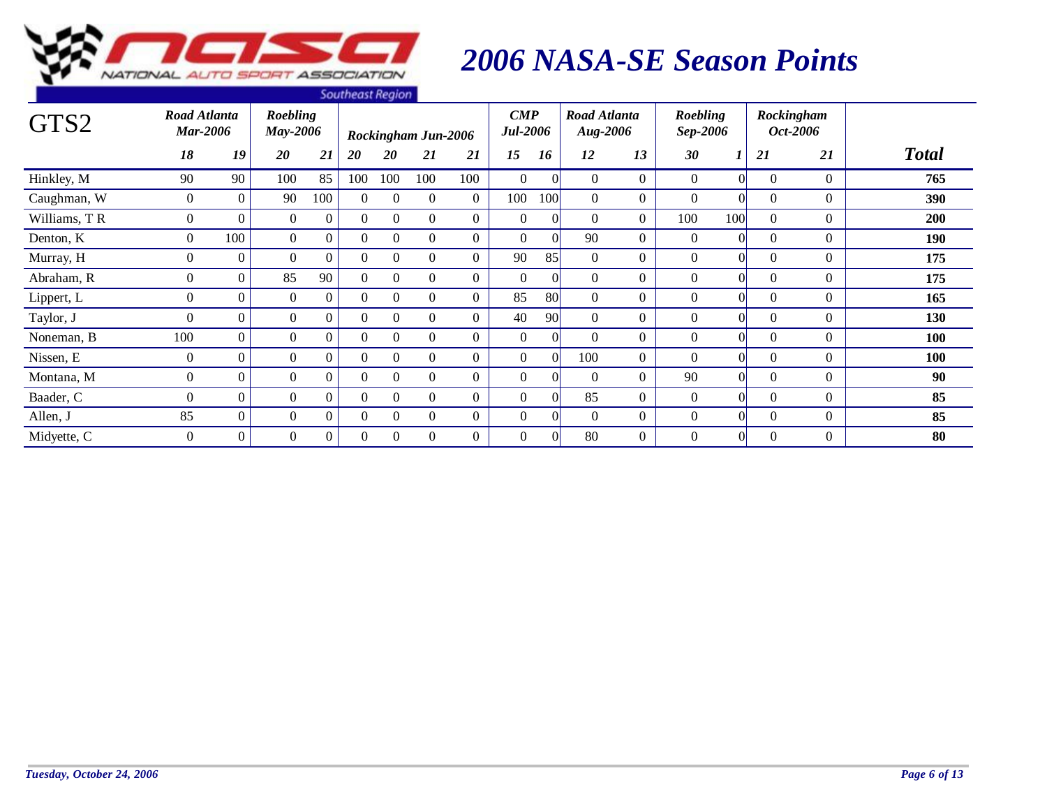

| GTS2         | Road Atlanta<br><b>Mar-2006</b> |                | <b>Roebling</b> |                | <b><i><u>JUULIEUJI NEYIUIT</u></i></b> |              |                            |                | $\boldsymbol{CMP}$<br><b>Jul-2006</b> |     | Road Atlanta    |                | Roebling         |          |          | Rockingham<br>Oct-2006 |              |
|--------------|---------------------------------|----------------|-----------------|----------------|----------------------------------------|--------------|----------------------------|----------------|---------------------------------------|-----|-----------------|----------------|------------------|----------|----------|------------------------|--------------|
|              |                                 |                | <b>May-2006</b> |                |                                        |              | <b>Rockingham Jun-2006</b> |                |                                       |     | <b>Aug-2006</b> |                | Sep-2006         |          |          |                        |              |
|              | 18                              | 19             | 20              | 21             | 20                                     | 20           | 21                         | 21             | 15                                    | 16  | 12              | 13             | 30               |          | 21       | 21                     | <b>Total</b> |
| Hinkley, M   | 90                              | 90             | 100             | 85             | 100                                    | 100          | 100                        | 100            | $\Omega$                              |     | $\Omega$        | $\Omega$       | $\theta$         | $\Omega$ | $\Omega$ | $\Omega$               | 765          |
| Caughman, W  | $\overline{0}$                  | $\overline{0}$ | 90              | 100            | 0                                      | $\Omega$     | $\overline{0}$             | $\overline{0}$ | 100                                   | 100 | $\Omega$        | $\overline{0}$ | $\theta$         |          | $\theta$ | $\overline{0}$         | 390          |
| Williams, TR | $\overline{0}$                  | $\Omega$       | $\overline{0}$  | $\overline{0}$ | $\Omega$                               | $\Omega$     | $\overline{0}$             | $\overline{0}$ | $\overline{0}$                        |     | $\Omega$        | $\overline{0}$ | 100              | 100      | $\theta$ | $\overline{0}$         | 200          |
| Denton, K    | $\Omega$                        | 100            | $\overline{0}$  | $\overline{0}$ | $\Omega$                               | $\Omega$     | $\overline{0}$             | $\Omega$       | $\Omega$                              |     | 90              | $\Omega$       | $\boldsymbol{0}$ | O        | $\theta$ | $\Omega$               | 190          |
| Murray, H    | $\Omega$                        | $\Omega$       | $\Omega$        | $\Omega$       | $\Omega$                               | $\Omega$     | $\overline{0}$             | $\Omega$       | 90                                    | 85  | $\Omega$        | $\Omega$       | $\Omega$         | 0        | $\Omega$ | $\Omega$               | 175          |
| Abraham, R   | $\Omega$                        | $\overline{0}$ | 85              | 90             | $\Omega$                               | $\Omega$     | $\overline{0}$             | $\overline{0}$ | $\Omega$                              |     | $\Omega$        | $\overline{0}$ | $\theta$         | $\Omega$ | $\Omega$ | $\theta$               | 175          |
| Lippert, L   | $\overline{0}$                  | $\overline{0}$ | $\overline{0}$  | $\overline{0}$ | $\Omega$                               | $\mathbf{0}$ | $\overline{0}$             | $\overline{0}$ | 85                                    | 80  | $\Omega$        | $\overline{0}$ | $\theta$         | $\Omega$ | $\Omega$ | $\Omega$               | 165          |
| Taylor, J    | $\Omega$                        | $\Omega$       | $\Omega$        | 0              | $\Omega$                               | $\Omega$     | $\Omega$                   | $\Omega$       | 40                                    | 90  | $\Omega$        | $\Omega$       | $\theta$         |          | $\Omega$ | $\Omega$               | 130          |
| Noneman, B   | 100                             | $\Omega$       | $\Omega$        | $\Omega$       | $\Omega$                               | $\Omega$     | $\overline{0}$             | $\Omega$       | $\Omega$                              |     | $\Omega$        | $\Omega$       | $\theta$         |          | $\Omega$ | $\Omega$               | 100          |
| Nissen, E    | $\overline{0}$                  | $\Omega$       | $\overline{0}$  | $\overline{0}$ | $\Omega$                               | $\Omega$     | $\boldsymbol{0}$           | $\Omega$       | $\overline{0}$                        |     | 100             | $\overline{0}$ | $\theta$         |          | $\Omega$ | $\overline{0}$         | 100          |
| Montana, M   | $\Omega$                        | $\Omega$       | $\overline{0}$  | $\overline{0}$ | $\Omega$                               | $\Omega$     | $\overline{0}$             | $\overline{0}$ | $\theta$                              |     | $\Omega$        | $\overline{0}$ | 90               |          | $\Omega$ | $\overline{0}$         | 90           |
| Baader, C    | $\Omega$                        | $\overline{0}$ | $\Omega$        | $\Omega$       | $\Omega$                               | $\Omega$     | $\boldsymbol{0}$           | $\overline{0}$ | $\overline{0}$                        |     | 85              | $\overline{0}$ | $\theta$         | Ol       | $\theta$ | $\theta$               | 85           |
| Allen, J     | 85                              | $\overline{0}$ | $\overline{0}$  | $\overline{0}$ | $\Omega$                               | $\Omega$     | $\boldsymbol{0}$           | $\overline{0}$ | $\theta$                              |     | $\Omega$        | $\overline{0}$ | $\overline{0}$   | $\Omega$ | $\Omega$ | $\theta$               | 85           |
| Midyette, C  | $\overline{0}$                  | $\overline{0}$ | $\theta$        | 0              | $\Omega$                               | $\theta$     | $\overline{0}$             | $\overline{0}$ | $\theta$                              |     | 80              | $\overline{0}$ | $\overline{0}$   | O        | $\theta$ | $\boldsymbol{0}$       | 80           |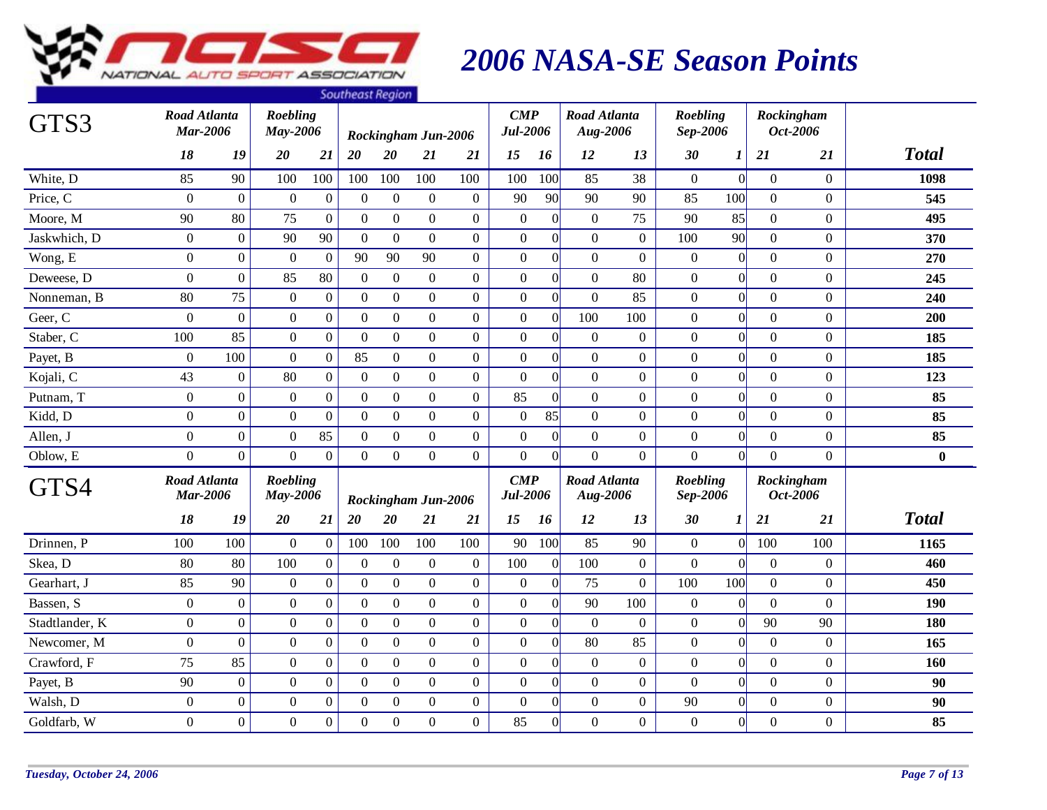

| GTS3           | Road Atlanta<br><b>Mar-2006</b> |                  | Roebling<br>May-2006        |                  | <b>Pourrown</b> negron |                  | Rockingham Jun-2006 |                  | $\boldsymbol{CMP}$<br><b>Jul-2006</b> |                  | <b>Road Atlanta</b><br>Aug-2006 |                  | <b>Roebling</b><br>Sep-2006 |                  | Rockingham     | Oct-2006         |              |
|----------------|---------------------------------|------------------|-----------------------------|------------------|------------------------|------------------|---------------------|------------------|---------------------------------------|------------------|---------------------------------|------------------|-----------------------------|------------------|----------------|------------------|--------------|
|                | 18                              | 19               | 20                          | 21               | 20                     | 20               | 21                  | 21               | 15                                    | 16               | 12                              | 13               | 30                          | $\boldsymbol{l}$ | 21             | 21               | <b>Total</b> |
| White, D       | 85                              | 90               | 100                         | 100              | 100                    | 100              | 100                 | 100              | 100                                   | 100              | 85                              | 38               | $\overline{0}$              | $\vert 0 \vert$  | $\overline{0}$ | $\overline{0}$   | 1098         |
| Price, C       | $\boldsymbol{0}$                | $\boldsymbol{0}$ | $\boldsymbol{0}$            | $\boldsymbol{0}$ | $\overline{0}$         | $\boldsymbol{0}$ | $\mathbf{0}$        | $\boldsymbol{0}$ | 90                                    | 90               | 90                              | 90               | 85                          | 100              | $\overline{0}$ | $\boldsymbol{0}$ | 545          |
| Moore, M       | 90                              | 80               | 75                          | $\boldsymbol{0}$ | $\boldsymbol{0}$       | $\boldsymbol{0}$ | $\mathbf{0}$        | $\boldsymbol{0}$ | $\boldsymbol{0}$                      | $\boldsymbol{0}$ | $\boldsymbol{0}$                | 75               | 90                          | 85               | $\overline{0}$ | $\boldsymbol{0}$ | 495          |
| Jaskwhich, D   | $\boldsymbol{0}$                | $\overline{0}$   | 90                          | 90               | $\boldsymbol{0}$       | $\boldsymbol{0}$ | $\mathbf{0}$        | $\mathbf{0}$     | $\boldsymbol{0}$                      | $\boldsymbol{0}$ | $\mathbf{0}$                    | $\overline{0}$   | 100                         | 90               | $\overline{0}$ | $\mathbf{0}$     | 370          |
| Wong, E        | $\Omega$                        | $\overline{0}$   | $\Omega$                    | $\boldsymbol{0}$ | 90                     | 90               | 90                  | $\mathbf{0}$     | $\boldsymbol{0}$                      | $\boldsymbol{0}$ | $\Omega$                        | $\mathbf{0}$     | $\mathbf{0}$                | $\Omega$         | $\Omega$       | $\Omega$         | 270          |
| Deweese, D     | $\boldsymbol{0}$                | $\overline{0}$   | 85                          | 80               | $\mathbf{0}$           | $\boldsymbol{0}$ | $\mathbf{0}$        | $\boldsymbol{0}$ | $\boldsymbol{0}$                      | $\boldsymbol{0}$ | $\overline{0}$                  | 80               | $\boldsymbol{0}$            | $\vert 0 \vert$  | $\overline{0}$ | $\mathbf{0}$     | 245          |
| Nonneman, B    | 80                              | 75               | $\boldsymbol{0}$            | $\boldsymbol{0}$ | $\boldsymbol{0}$       | $\boldsymbol{0}$ | $\boldsymbol{0}$    | $\boldsymbol{0}$ | $\boldsymbol{0}$                      | $\mathbf{0}$     | $\mathbf{0}$                    | 85               | $\boldsymbol{0}$            | $\overline{0}$   | $\overline{0}$ | $\mathbf{0}$     | 240          |
| Geer, C        | $\overline{0}$                  | $\overline{0}$   | $\boldsymbol{0}$            | $\boldsymbol{0}$ | $\boldsymbol{0}$       | $\boldsymbol{0}$ | $\boldsymbol{0}$    | $\boldsymbol{0}$ | $\boldsymbol{0}$                      | $\boldsymbol{0}$ | 100                             | 100              | $\boldsymbol{0}$            | $\Omega$         | $\overline{0}$ | $\boldsymbol{0}$ | 200          |
| Staber, C      | 100                             | 85               | $\mathbf{0}$                | $\boldsymbol{0}$ | $\overline{0}$         | $\boldsymbol{0}$ | $\overline{0}$      | $\mathbf{0}$     | $\boldsymbol{0}$                      | $\boldsymbol{0}$ | $\boldsymbol{0}$                | $\boldsymbol{0}$ | $\boldsymbol{0}$            | $\overline{0}$   | $\Omega$       | $\boldsymbol{0}$ | 185          |
| Payet, B       | $\boldsymbol{0}$                | 100              | $\boldsymbol{0}$            | $\boldsymbol{0}$ | 85                     | $\boldsymbol{0}$ | $\boldsymbol{0}$    | $\boldsymbol{0}$ | $\boldsymbol{0}$                      | $\boldsymbol{0}$ | $\mathbf{0}$                    | $\overline{0}$   | $\boldsymbol{0}$            | $\overline{0}$   | $\overline{0}$ | $\boldsymbol{0}$ | 185          |
| Kojali, C      | 43                              | $\overline{0}$   | 80                          | $\boldsymbol{0}$ | $\overline{0}$         | $\boldsymbol{0}$ | $\overline{0}$      | $\boldsymbol{0}$ | $\boldsymbol{0}$                      | $\boldsymbol{0}$ | $\overline{0}$                  | $\overline{0}$   | $\boldsymbol{0}$            | $\overline{0}$   | $\overline{0}$ | $\Omega$         | 123          |
| Putnam, T      | $\boldsymbol{0}$                | $\overline{0}$   | $\boldsymbol{0}$            | $\boldsymbol{0}$ | $\boldsymbol{0}$       | $\boldsymbol{0}$ | $\boldsymbol{0}$    | $\boldsymbol{0}$ | 85                                    | $\boldsymbol{0}$ | $\overline{0}$                  | $\boldsymbol{0}$ | $\boldsymbol{0}$            | $\vert 0 \vert$  | $\overline{0}$ | $\boldsymbol{0}$ | 85           |
| Kidd, D        | $\boldsymbol{0}$                | $\overline{0}$   | $\boldsymbol{0}$            | $\boldsymbol{0}$ | $\boldsymbol{0}$       | $\boldsymbol{0}$ | $\boldsymbol{0}$    | $\boldsymbol{0}$ | $\boldsymbol{0}$                      | 85               | $\mathbf{0}$                    | $\boldsymbol{0}$ | $\boldsymbol{0}$            | $\vert 0 \vert$  | $\overline{0}$ | $\boldsymbol{0}$ | 85           |
| Allen, J       | $\Omega$                        | $\Omega$         | $\Omega$                    | 85               | $\Omega$               | $\boldsymbol{0}$ | $\boldsymbol{0}$    | $\boldsymbol{0}$ | $\boldsymbol{0}$                      | $\overline{0}$   | $\mathbf{0}$                    | $\boldsymbol{0}$ | $\boldsymbol{0}$            | $\overline{0}$   | $\Omega$       | $\mathbf{0}$     | 85           |
| Oblow, E       | $\Omega$                        | $\overline{0}$   | $\overline{0}$              | $\overline{0}$   | $\mathbf{0}$           | $\boldsymbol{0}$ | $\overline{0}$      | $\mathbf{0}$     | $\mathbf{0}$                          | $\theta$         | $\overline{0}$                  | $\overline{0}$   | $\overline{0}$              | $\vert 0 \vert$  | $\Omega$       | $\boldsymbol{0}$ | $\bf{0}$     |
| GTS4           | Road Atlanta<br><b>Mar-2006</b> |                  | <b>Roebling</b><br>May-2006 |                  |                        |                  | Rockingham Jun-2006 |                  | $\boldsymbol{CMP}$<br><b>Jul-2006</b> |                  | <b>Road Atlanta</b><br>Aug-2006 |                  | Roebling<br>Sep-2006        |                  | Rockingham     | Oct-2006         |              |
|                | 18                              | 19               | 20                          | 21               | 20                     | 20               | 21                  | 21               | 15                                    | 16               | 12                              | 13               | 30                          | 1                | <b>21</b>      | 21               | <b>Total</b> |
| Drinnen, P     | 100                             | 100              | $\mathbf{0}$                | $\mathbf{0}$     | 100                    | 100              | 100                 | 100              | 90                                    | 100              | 85                              | 90               | $\boldsymbol{0}$            | $\Omega$         | 100            | 100              | 1165         |
| Skea, D        | 80                              | 80               | 100                         | $\boldsymbol{0}$ | $\boldsymbol{0}$       | $\boldsymbol{0}$ | $\boldsymbol{0}$    | $\boldsymbol{0}$ | 100                                   | $\boldsymbol{0}$ | 100                             | $\boldsymbol{0}$ | $\overline{0}$              | $\Omega$         | $\overline{0}$ | $\mathbf{0}$     | 460          |
| Gearhart, J    | 85                              | 90               | $\boldsymbol{0}$            | $\boldsymbol{0}$ | $\mathbf{0}$           | $\mathbf{0}$     | $\overline{0}$      | $\mathbf{0}$     | $\boldsymbol{0}$                      | $\vert 0 \vert$  | 75                              | $\overline{0}$   | 100                         | 100              | $\Omega$       | $\Omega$         | 450          |
| Bassen, S      | $\theta$                        | $\overline{0}$   | $\mathbf{0}$                | $\boldsymbol{0}$ | $\mathbf{0}$           | $\boldsymbol{0}$ | $\mathbf{0}$        | $\boldsymbol{0}$ | $\mathbf{0}$                          | $\boldsymbol{0}$ | 90                              | 100              | $\mathbf{0}$                | $\Omega$         | $\Omega$       | $\Omega$         | 190          |
| Stadtlander, K | $\boldsymbol{0}$                | $\overline{0}$   | $\boldsymbol{0}$            | $\overline{0}$   | $\mathbf{0}$           | $\mathbf{0}$     | $\boldsymbol{0}$    | $\overline{0}$   | $\boldsymbol{0}$                      | $\mathbf{0}$     | $\overline{0}$                  | $\mathbf{0}$     | $\mathbf{0}$                | $\Omega$         | 90             | 90               | 180          |
| Newcomer, M    | $\mathbf{0}$                    | $\overline{0}$   | $\boldsymbol{0}$            | $\boldsymbol{0}$ | $\boldsymbol{0}$       | $\boldsymbol{0}$ | $\boldsymbol{0}$    | $\boldsymbol{0}$ | $\boldsymbol{0}$                      | $\boldsymbol{0}$ | 80                              | 85               | $\boldsymbol{0}$            | $\vert 0 \vert$  | $\mathbf{0}$   | $\boldsymbol{0}$ | 165          |
| Crawford, F    | 75                              | 85               | $\boldsymbol{0}$            | $\boldsymbol{0}$ | $\boldsymbol{0}$       | $\boldsymbol{0}$ | $\mathbf{0}$        | $\boldsymbol{0}$ | $\boldsymbol{0}$                      | $\vert 0 \vert$  | $\boldsymbol{0}$                | $\boldsymbol{0}$ | $\boldsymbol{0}$            | $\vert 0 \vert$  | $\overline{0}$ | $\boldsymbol{0}$ | 160          |
| Payet, B       | 90                              | $\boldsymbol{0}$ | $\boldsymbol{0}$            | $\boldsymbol{0}$ | $\boldsymbol{0}$       | $\boldsymbol{0}$ | $\boldsymbol{0}$    | $\boldsymbol{0}$ | $\boldsymbol{0}$                      | $\boldsymbol{0}$ | $\mathbf{0}$                    | $\boldsymbol{0}$ | $\boldsymbol{0}$            | $\overline{0}$   | $\overline{0}$ | $\boldsymbol{0}$ | 90           |
| Walsh, D       | $\boldsymbol{0}$                | $\overline{0}$   | $\boldsymbol{0}$            | $\boldsymbol{0}$ | $\mathbf{0}$           | $\mathbf{0}$     | $\boldsymbol{0}$    | $\boldsymbol{0}$ | $\boldsymbol{0}$                      | $\boldsymbol{0}$ | $\overline{0}$                  | $\overline{0}$   | 90                          | $\Omega$         | $\overline{0}$ | $\boldsymbol{0}$ | 90           |
| Goldfarb, W    | $\Omega$                        | $\overline{0}$   | $\overline{0}$              | $\boldsymbol{0}$ | $\Omega$               | $\mathbf{0}$     | $\overline{0}$      | $\boldsymbol{0}$ | 85                                    | $\theta$         | $\overline{0}$                  | $\boldsymbol{0}$ | $\boldsymbol{0}$            | $\vert 0 \vert$  | $\Omega$       | $\boldsymbol{0}$ | 85           |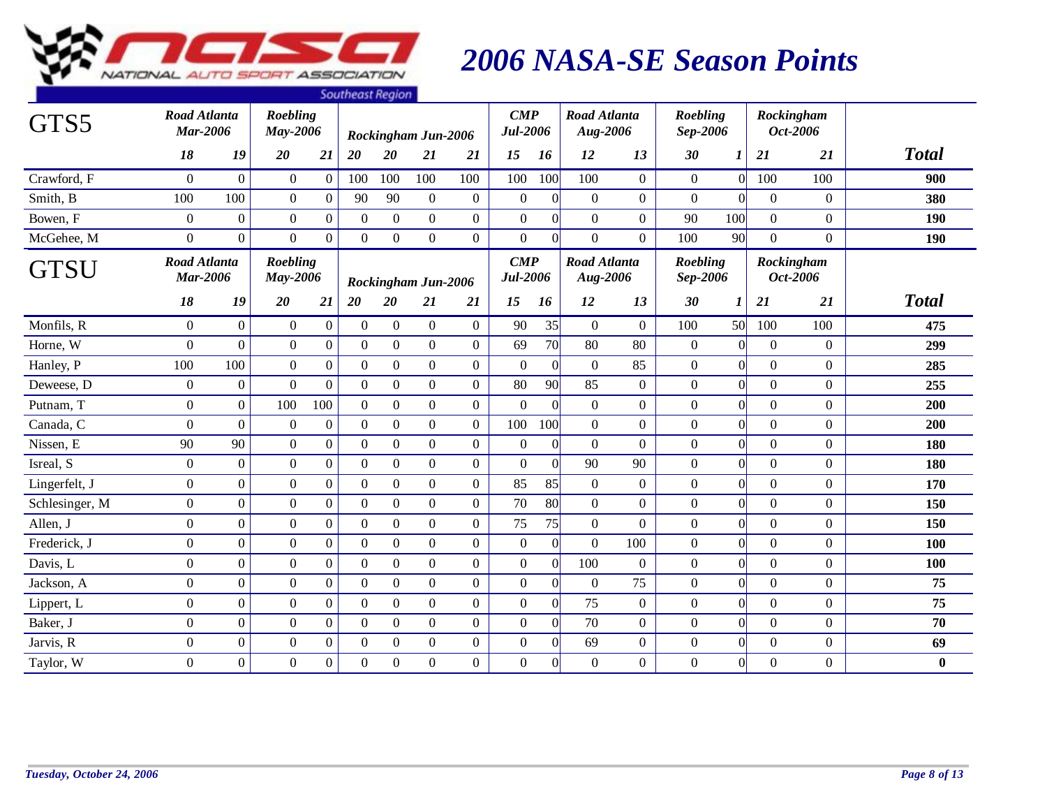

|                |                                        |                  |                             |                  | <b><i><u>JUULIEUJENEYNUL</u></i></b> |                  |                     |                  |                                       |                 |                                 |                  |                      |                |                |                        |              |
|----------------|----------------------------------------|------------------|-----------------------------|------------------|--------------------------------------|------------------|---------------------|------------------|---------------------------------------|-----------------|---------------------------------|------------------|----------------------|----------------|----------------|------------------------|--------------|
| GTS5           | <b>Road Atlanta</b><br><b>Mar-2006</b> |                  | Roebling<br>May-2006        |                  |                                      |                  | Rockingham Jun-2006 |                  | $\boldsymbol{CMP}$<br><b>Jul-2006</b> |                 | <b>Road Atlanta</b><br>Aug-2006 |                  | Roebling<br>Sep-2006 |                |                | Rockingham<br>Oct-2006 |              |
|                | 18                                     | 19               | 20                          | 21               | 20                                   | 20               | 21                  | 21               | 15                                    | 16              | 12                              | 13               | 30                   | 1              | 21             | 21                     | <b>Total</b> |
| Crawford, F    | $\Omega$                               | $\overline{0}$   | $\overline{0}$              | $\boldsymbol{0}$ | 100                                  | 100              | 100                 | 100              | 100                                   | 100             | 100                             | $\Omega$         | $\overline{0}$       | $\Omega$       | 100            | 100                    | 900          |
| Smith, B       | 100                                    | 100              | $\overline{0}$              | $\theta$         | 90                                   | 90               | $\theta$            | $\overline{0}$   | $\mathbf{0}$                          | $\vert$ 0       | $\overline{0}$                  | $\boldsymbol{0}$ | $\boldsymbol{0}$     | $\Omega$       | $\Omega$       | $\overline{0}$         | 380          |
| Bowen, F       | $\overline{0}$                         | $\boldsymbol{0}$ | $\overline{0}$              | $\boldsymbol{0}$ | $\overline{0}$                       | $\boldsymbol{0}$ | $\overline{0}$      | $\boldsymbol{0}$ | $\boldsymbol{0}$                      | $\vert 0 \vert$ | $\mathbf{0}$                    | $\boldsymbol{0}$ | 90                   | 100            | $\overline{0}$ | $\boldsymbol{0}$       | 190          |
| McGehee, M     | $\overline{0}$                         | $\overline{0}$   | $\overline{0}$              | $\overline{0}$   | $\Omega$                             | $\mathbf{0}$     | $\overline{0}$      | $\mathbf{0}$     | $\boldsymbol{0}$                      | $\vert 0 \vert$ | $\overline{0}$                  | $\overline{0}$   | 100                  | 90             | $\overline{0}$ | $\overline{0}$         | 190          |
| <b>GTSU</b>    | <b>Road Atlanta</b><br><b>Mar-2006</b> |                  | <b>Roebling</b><br>May-2006 |                  |                                      |                  | Rockingham Jun-2006 |                  | $\boldsymbol{CMP}$<br><b>Jul-2006</b> |                 | Road Atlanta<br>Aug-2006        |                  | Roebling<br>Sep-2006 |                |                | Rockingham<br>Oct-2006 |              |
|                | 18                                     | 19               | 20                          | 21               | 20                                   | 20               | 21                  | 21               | 15                                    | 16              | 12                              | 13               | 30                   | 1              | 21             | 21                     | <b>Total</b> |
| Monfils, R     | $\overline{0}$                         | $\overline{0}$   | $\overline{0}$              | $\boldsymbol{0}$ | $\boldsymbol{0}$                     | $\boldsymbol{0}$ | $\overline{0}$      | $\mathbf{0}$     | 90                                    | 35              | $\overline{0}$                  | $\overline{0}$   | 100                  | 50             | 100            | 100                    | 475          |
| Horne, W       | $\Omega$                               | $\Omega$         | $\overline{0}$              | $\mathbf{0}$     | $\overline{0}$                       | $\boldsymbol{0}$ | $\overline{0}$      | $\mathbf{0}$     | 69                                    | 70              | 80                              | 80               | $\overline{0}$       | $\Omega$       | $\overline{0}$ | $\boldsymbol{0}$       | 299          |
| Hanley, P      | 100                                    | 100              | $\overline{0}$              | $\mathbf{0}$     | $\overline{0}$                       | $\mathbf{0}$     | $\overline{0}$      | $\mathbf{0}$     | $\mathbf{0}$                          | $\vert 0 \vert$ | $\mathbf{0}$                    | 85               | $\boldsymbol{0}$     | $\overline{0}$ | $\overline{0}$ | $\boldsymbol{0}$       | 285          |
| Deweese, D     | $\boldsymbol{0}$                       | $\boldsymbol{0}$ | $\overline{0}$              | $\overline{0}$   | $\boldsymbol{0}$                     | $\boldsymbol{0}$ | $\boldsymbol{0}$    | $\mathbf{0}$     | 80                                    | 90              | 85                              | $\boldsymbol{0}$ | $\boldsymbol{0}$     | $\overline{0}$ | $\overline{0}$ | $\boldsymbol{0}$       | 255          |
| Putnam, T      | $\overline{0}$                         | $\overline{0}$   | 100                         | 100              | $\Omega$                             | $\boldsymbol{0}$ | $\overline{0}$      | $\mathbf{0}$     | $\mathbf{0}$                          | $\Omega$        | $\overline{0}$                  | $\overline{0}$   | $\overline{0}$       | $\overline{0}$ | $\Omega$       | $\boldsymbol{0}$       | 200          |
| Canada, C      | $\boldsymbol{0}$                       | $\overline{0}$   | $\mathbf{0}$                | $\boldsymbol{0}$ | $\boldsymbol{0}$                     | $\boldsymbol{0}$ | $\boldsymbol{0}$    | $\mathbf{0}$     | 100                                   | 100             | $\mathbf{0}$                    | $\boldsymbol{0}$ | $\boldsymbol{0}$     | $\Omega$       | $\Omega$       | $\Omega$               | 200          |
| Nissen, E      | 90                                     | 90               | $\overline{0}$              | $\boldsymbol{0}$ | $\overline{0}$                       | $\boldsymbol{0}$ | $\overline{0}$      | $\mathbf{0}$     | $\boldsymbol{0}$                      | $\vert 0 \vert$ | $\boldsymbol{0}$                | $\boldsymbol{0}$ | $\boldsymbol{0}$     | $\Omega$       | $\overline{0}$ | $\boldsymbol{0}$       | 180          |
| Isreal, S      | $\overline{0}$                         | $\overline{0}$   | $\overline{0}$              | $\mathbf{0}$     | $\boldsymbol{0}$                     | $\boldsymbol{0}$ | $\overline{0}$      | $\boldsymbol{0}$ | $\mathbf{0}$                          | $\vert 0 \vert$ | 90                              | 90               | $\overline{0}$       | $\Omega$       | $\overline{0}$ | $\boldsymbol{0}$       | 180          |
| Lingerfelt, J  | $\boldsymbol{0}$                       | $\boldsymbol{0}$ | $\overline{0}$              | $\mathbf{0}$     | $\overline{0}$                       | $\boldsymbol{0}$ | $\overline{0}$      | $\mathbf{0}$     | 85                                    | 85              | $\overline{0}$                  | $\overline{0}$   | $\overline{0}$       | $\Omega$       | $\overline{0}$ | $\overline{0}$         | 170          |
| Schlesinger, M | $\overline{0}$                         | $\overline{0}$   | $\overline{0}$              | $\overline{0}$   | $\boldsymbol{0}$                     | $\boldsymbol{0}$ | $\overline{0}$      | $\overline{0}$   | 70                                    | 80              | $\overline{0}$                  | $\overline{0}$   | $\overline{0}$       | $\overline{0}$ | $\overline{0}$ | $\boldsymbol{0}$       | 150          |
| Allen, J       | $\Omega$                               | $\overline{0}$   | $\overline{0}$              | $\boldsymbol{0}$ | $\Omega$                             | $\boldsymbol{0}$ | $\boldsymbol{0}$    | $\mathbf{0}$     | 75                                    | 75              | $\overline{0}$                  | $\Omega$         | $\overline{0}$       | $\Omega$       | $\Omega$       | $\Omega$               | 150          |
| Frederick, J   | $\overline{0}$                         | $\overline{0}$   | $\overline{0}$              | $\mathbf{0}$     | $\boldsymbol{0}$                     | $\boldsymbol{0}$ | $\overline{0}$      | $\boldsymbol{0}$ | $\boldsymbol{0}$                      | 0               | $\mathbf{0}$                    | 100              | $\boldsymbol{0}$     | $\Omega$       | $\overline{0}$ | $\boldsymbol{0}$       | 100          |
| Davis, L       | $\Omega$                               | $\overline{0}$   | $\overline{0}$              | $\boldsymbol{0}$ | $\boldsymbol{0}$                     | $\boldsymbol{0}$ | $\overline{0}$      | $\mathbf{0}$     | $\boldsymbol{0}$                      | $\vert 0 \vert$ | 100                             | $\mathbf{0}$     | $\boldsymbol{0}$     | $\overline{0}$ | $\overline{0}$ | $\Omega$               | 100          |
| Jackson, A     | $\overline{0}$                         | $\boldsymbol{0}$ | $\overline{0}$              | $\mathbf{0}$     | $\overline{0}$                       | $\mathbf{0}$     | $\overline{0}$      | $\overline{0}$   | $\boldsymbol{0}$                      | $\vert 0 \vert$ | $\overline{0}$                  | 75               | $\boldsymbol{0}$     | $\Omega$       | $\overline{0}$ | $\overline{0}$         | 75           |
| Lippert, L     | $\overline{0}$                         | $\overline{0}$   | $\overline{0}$              | $\boldsymbol{0}$ | $\mathbf{0}$                         | $\boldsymbol{0}$ | $\boldsymbol{0}$    | $\boldsymbol{0}$ | $\boldsymbol{0}$                      | $\vert 0 \vert$ | 75                              | $\boldsymbol{0}$ | $\boldsymbol{0}$     | $\overline{0}$ | $\overline{0}$ | $\boldsymbol{0}$       | 75           |
| Baker, J       | $\overline{0}$                         | $\overline{0}$   | $\overline{0}$              | $\overline{0}$   | $\boldsymbol{0}$                     | $\boldsymbol{0}$ | $\overline{0}$      | $\mathbf{0}$     | $\mathbf{0}$                          | $\vert 0 \vert$ | 70                              | $\overline{0}$   | $\boldsymbol{0}$     | $\overline{0}$ | $\overline{0}$ | $\overline{0}$         | 70           |
| Jarvis, R      | $\overline{0}$                         | $\overline{0}$   | $\overline{0}$              | $\boldsymbol{0}$ | $\overline{0}$                       | $\mathbf{0}$     | $\overline{0}$      | $\mathbf{0}$     | $\mathbf{0}$                          | $\vert$ 0       | 69                              | $\boldsymbol{0}$ | $\boldsymbol{0}$     | $\Omega$       | $\Omega$       | $\boldsymbol{0}$       | 69           |
| Taylor, W      | $\Omega$                               | $\overline{0}$   | $\boldsymbol{0}$            | $\boldsymbol{0}$ | $\Omega$                             | $\boldsymbol{0}$ | $\boldsymbol{0}$    | $\boldsymbol{0}$ | $\boldsymbol{0}$                      | $\vert 0 \vert$ | $\theta$                        | $\boldsymbol{0}$ | $\boldsymbol{0}$     | $\overline{0}$ | $\Omega$       | $\overline{0}$         | $\bf{0}$     |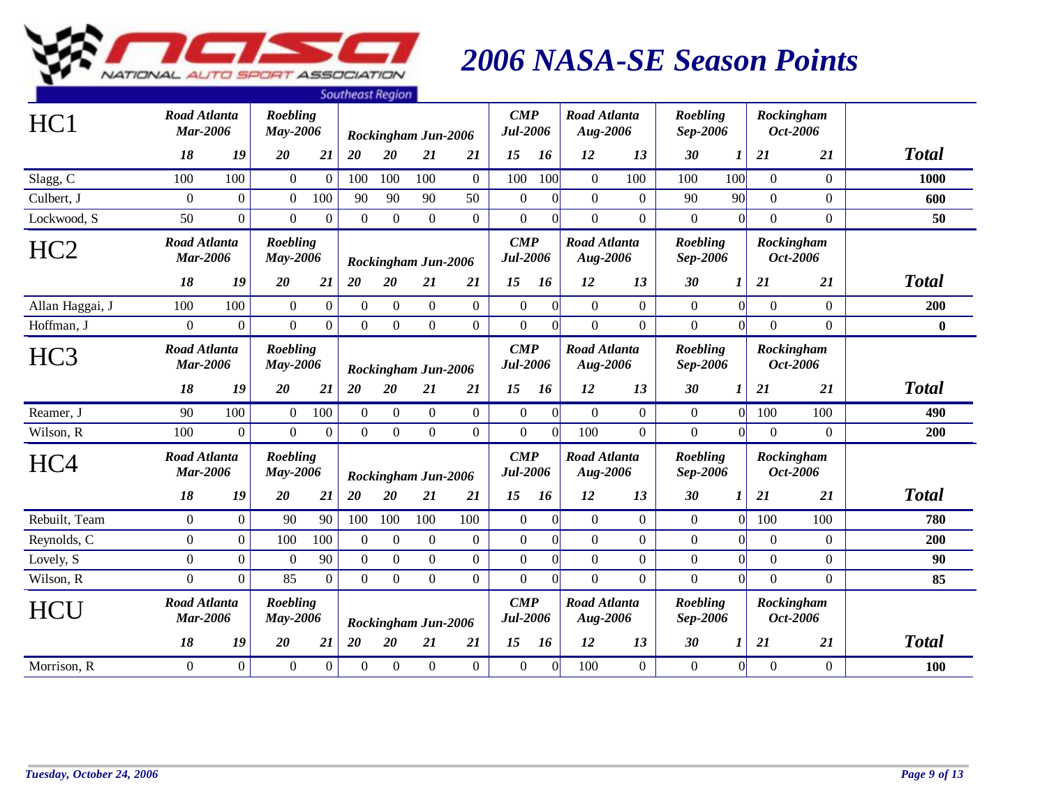

|                 |                                        |                |                             |                  | <b><i><u>JUULITEUJENEUMIN</u></i></b> |                  |                     |                  |                                       |                  |                                 |                  |                      |                |                |                        |              |
|-----------------|----------------------------------------|----------------|-----------------------------|------------------|---------------------------------------|------------------|---------------------|------------------|---------------------------------------|------------------|---------------------------------|------------------|----------------------|----------------|----------------|------------------------|--------------|
| HC1             | Road Atlanta<br><b>Mar-2006</b>        |                | Roebling<br>May-2006        |                  |                                       |                  | Rockingham Jun-2006 |                  | $\boldsymbol{CMP}$<br>Jul-2006        |                  | Road Atlanta<br>Aug-2006        |                  | Roebling<br>Sep-2006 |                |                | Rockingham<br>Oct-2006 |              |
|                 | 18                                     | 19             | 20                          | 21               | 20                                    | 20               | 21                  | 21               | 15                                    | 16               | 12                              | 13               | 30                   | 1              | 21             | <b>21</b>              | <b>Total</b> |
| Slagg, C        | 100                                    | 100            | $\overline{0}$              | $\overline{0}$   | 100                                   | 100              | 100                 | $\Omega$         | 100                                   | 100              | $\overline{0}$                  | 100              | 100                  | 100            | $\theta$       | $\Omega$               | 1000         |
| Culbert, J      | $\Omega$                               | $\overline{0}$ | $\theta$                    | 100              | 90                                    | 90               | 90                  | 50               | $\overline{0}$                        | $\Omega$         | $\overline{0}$                  | $\overline{0}$   | 90                   | 90             | $\Omega$       | $\overline{0}$         | 600          |
| Lockwood, S     | 50                                     | $\overline{0}$ | $\Omega$                    | $\boldsymbol{0}$ | $\Omega$                              | $\boldsymbol{0}$ | $\boldsymbol{0}$    | $\mathbf{0}$     | $\mathbf{0}$                          | $\overline{0}$   | $\overline{0}$                  | $\mathbf{0}$     | $\overline{0}$       | $\overline{0}$ | $\Omega$       | $\overline{0}$         | 50           |
| HC <sub>2</sub> | <b>Road Atlanta</b><br><b>Mar-2006</b> |                | Roebling<br><b>May-2006</b> |                  |                                       |                  | Rockingham Jun-2006 |                  | $\boldsymbol{CMP}$<br><b>Jul-2006</b> |                  | <b>Road Atlanta</b><br>Aug-2006 |                  | Roebling<br>Sep-2006 |                |                | Rockingham<br>Oct-2006 |              |
|                 | 18                                     | 19             | 20                          | 21               | 20                                    | 20               | 21                  | 21               | 15                                    | 16               | 12                              | 13               | 30                   | 1              | <b>21</b>      | 21                     | <b>Total</b> |
| Allan Haggai, J | 100                                    | 100            | $\mathbf{0}$                | $\mathbf{0}$     | $\overline{0}$                        | $\boldsymbol{0}$ | $\overline{0}$      | $\mathbf{0}$     | $\boldsymbol{0}$                      | $\Omega$         | $\overline{0}$                  | $\overline{0}$   | $\mathbf{0}$         | $\Omega$       | $\overline{0}$ | $\overline{0}$         | 200          |
| Hoffman, J      | $\overline{0}$                         | $\overline{0}$ | $\overline{0}$              | $\boldsymbol{0}$ | $\overline{0}$                        | $\overline{0}$   | $\overline{0}$      | $\overline{0}$   | $\mathbf{0}$                          | $\overline{0}$   | $\overline{0}$                  | $\boldsymbol{0}$ | $\boldsymbol{0}$     | $\overline{0}$ | $\overline{0}$ | $\overline{0}$         | $\bf{0}$     |
| HC <sub>3</sub> | <b>Road Atlanta</b><br><b>Mar-2006</b> |                | Roebling<br>May-2006        |                  |                                       |                  | Rockingham Jun-2006 |                  | $\boldsymbol{CMP}$<br><b>Jul-2006</b> |                  | <b>Road Atlanta</b><br>Aug-2006 |                  | Roebling<br>Sep-2006 |                |                | Rockingham<br>Oct-2006 |              |
|                 | 18                                     | 19             | 20                          | 21               | 20                                    | 20               | 21                  | 21               | 15                                    | 16               | 12                              | 13               | 30                   | 1              | 21             | 21                     | <b>Total</b> |
| Reamer, J       | 90                                     | 100            | $\overline{0}$              | 100              | $\Omega$                              | $\boldsymbol{0}$ | $\theta$            | $\overline{0}$   | $\boldsymbol{0}$                      | $\overline{0}$   | $\overline{0}$                  | $\overline{0}$   | $\overline{0}$       | $\overline{0}$ | 100            | 100                    | 490          |
| Wilson, R       | 100                                    | $\Omega$       | $\theta$                    | $\overline{0}$   | $\overline{0}$                        | $\overline{0}$   | $\overline{0}$      | $\overline{0}$   | $\mathbf{0}$                          | $\theta$         | 100                             | $\mathbf{0}$     | $\mathbf{0}$         | $\Omega$       | $\theta$       | $\overline{0}$         | 200          |
| HC <sub>4</sub> | <b>Road Atlanta</b><br><b>Mar-2006</b> |                | Roebling<br>May-2006        |                  |                                       |                  | Rockingham Jun-2006 |                  | $\mathbf{CMP}$<br>Jul-2006            |                  | <b>Road Atlanta</b><br>Aug-2006 |                  | Roebling<br>Sep-2006 |                |                | Rockingham<br>Oct-2006 |              |
|                 | 18                                     | 19             | 20                          | 21               | 20                                    | 20               | 21                  | 21               | 15                                    | 16               | 12                              | 13               | 30                   | 1              | 21             | 21                     | <b>Total</b> |
| Rebuilt, Team   | $\Omega$                               | $\Omega$       | 90                          | 90               | 100                                   | 100              | 100                 | 100              | $\mathbf{0}$                          | $\Omega$         | $\overline{0}$                  | $\theta$         | $\theta$             | $\Omega$       | 100            | 100                    | 780          |
| Reynolds, C     | $\overline{0}$                         | $\Omega$       | 100                         | 100              | $\Omega$                              | $\boldsymbol{0}$ | $\overline{0}$      | $\boldsymbol{0}$ | $\mathbf{0}$                          | $\Omega$         | $\theta$                        | $\mathbf{0}$     | $\boldsymbol{0}$     | $\Omega$       | $\theta$       | $\overline{0}$         | 200          |
| Lovely, S       | $\overline{0}$                         | $\overline{0}$ | $\boldsymbol{0}$            | 90               | $\Omega$                              | $\boldsymbol{0}$ | $\overline{0}$      | $\mathbf{0}$     | $\boldsymbol{0}$                      | $\mathbf{0}$     | $\overline{0}$                  | $\mathbf{0}$     | $\mathbf{0}$         | $\overline{0}$ | $\Omega$       | $\overline{0}$         | 90           |
| Wilson, R       | $\Omega$                               | $\Omega$       | 85                          | $\overline{0}$   | $\Omega$                              | $\mathbf{0}$     | $\Omega$            | $\overline{0}$   | $\mathbf{0}$                          | $\theta$         | $\theta$                        | $\overline{0}$   | $\boldsymbol{0}$     | $\Omega$       | $\Omega$       | $\overline{0}$         | 85           |
| <b>HCU</b>      | <b>Road Atlanta</b><br><b>Mar-2006</b> |                | Roebling<br>May-2006        |                  |                                       |                  | Rockingham Jun-2006 |                  | $\boldsymbol{CMP}$<br><b>Jul-2006</b> |                  | <b>Road Atlanta</b><br>Aug-2006 |                  | Roebling<br>Sep-2006 |                |                | Rockingham<br>Oct-2006 |              |
|                 | 18                                     | 19             | 20                          | 21               | 20                                    | 20               | 21                  | 21               | 15                                    | 16               | 12                              | 13               | 30                   | 1              | 21             | 21                     | <b>Total</b> |
| Morrison, R     | $\overline{0}$                         | $\overline{0}$ | $\boldsymbol{0}$            | $\boldsymbol{0}$ | $\mathbf{0}$                          | $\mathbf{0}$     | $\boldsymbol{0}$    | $\overline{0}$   | $\boldsymbol{0}$                      | $\boldsymbol{0}$ | 100                             | $\overline{0}$   | $\boldsymbol{0}$     | $\overline{0}$ | $\overline{0}$ | $\overline{0}$         | 100          |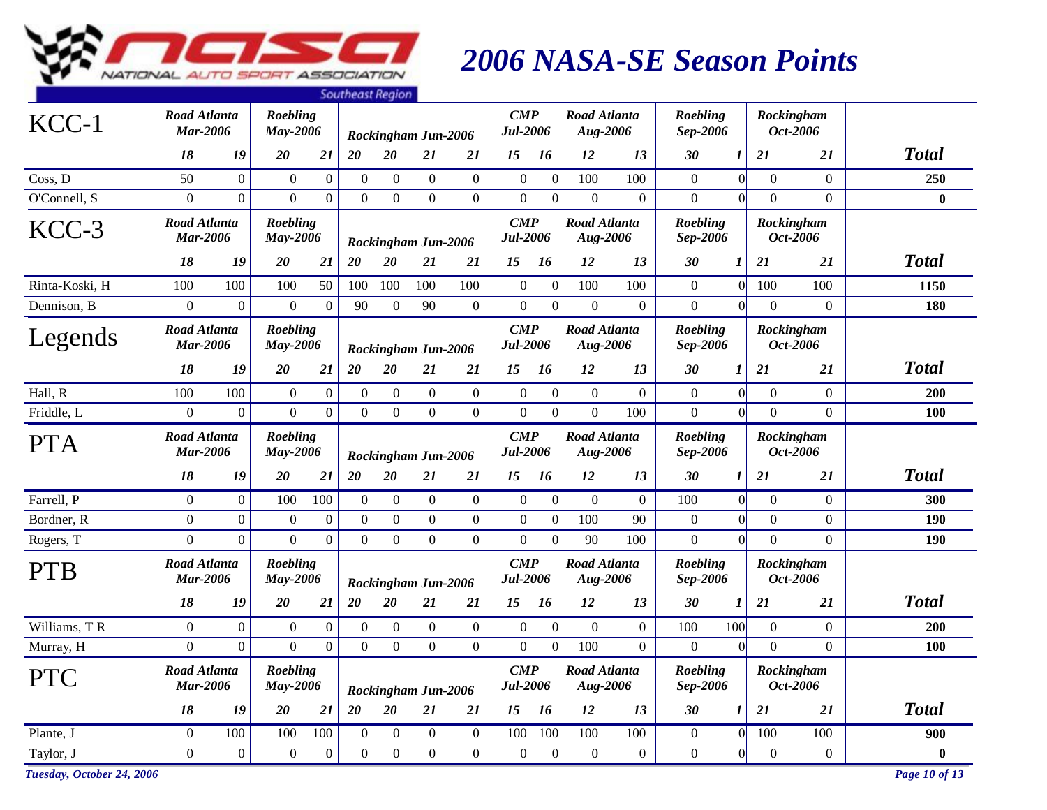

|                           |                                        |                |                             |                  | <b><i><u>JUULITEUJENEUMIN</u></i></b> |                  |                     |                  |                                       |                  |                                 |                  |                             |                  |                |                        |               |
|---------------------------|----------------------------------------|----------------|-----------------------------|------------------|---------------------------------------|------------------|---------------------|------------------|---------------------------------------|------------------|---------------------------------|------------------|-----------------------------|------------------|----------------|------------------------|---------------|
| $KCC-1$                   | Road Atlanta<br><b>Mar-2006</b>        |                | Roebling<br>May-2006        |                  |                                       |                  | Rockingham Jun-2006 |                  | $\boldsymbol{CMP}$<br><b>Jul-2006</b> |                  | Road Atlanta<br>Aug-2006        |                  | Roebling<br>Sep-2006        |                  |                | Rockingham<br>Oct-2006 |               |
|                           | 18                                     | 19             | 20                          | 21               | 20                                    | 20               | 21                  | 21               | 15                                    | 16               | 12                              | 13               | 30                          | 1                | 21             | 21                     | <b>Total</b>  |
| Coss, D                   | 50                                     | $\overline{0}$ | $\mathbf{0}$                | $\boldsymbol{0}$ | $\overline{0}$                        | $\overline{0}$   | $\overline{0}$      | $\overline{0}$   | $\boldsymbol{0}$                      | $\boldsymbol{0}$ | 100                             | 100              | $\mathbf{0}$                | 0                | $\overline{0}$ | $\overline{0}$         | 250           |
| O'Connell, S              | $\overline{0}$                         | $\Omega$       | $\overline{0}$              | $\overline{0}$   | $\Omega$                              | $\Omega$         | $\overline{0}$      | $\mathbf{0}$     | $\mathbf{0}$                          | $\theta$         | $\Omega$                        | $\boldsymbol{0}$ | $\mathbf{0}$                | $\Omega$         | $\Omega$       | $\overline{0}$         | $\bf{0}$      |
| $KCC-3$                   | Road Atlanta<br><b>Mar-2006</b>        |                | <b>Roebling</b><br>May-2006 |                  |                                       |                  | Rockingham Jun-2006 |                  | $\boldsymbol{CMP}$<br><b>Jul-2006</b> |                  | <b>Road Atlanta</b><br>Aug-2006 |                  | Roebling<br>Sep-2006        |                  |                | Rockingham<br>Oct-2006 |               |
|                           | 18                                     | 19             | 20                          | 21               | 20                                    | 20               | 21                  | 21               | 15                                    | 16               | 12                              | 13               | 30                          | $\boldsymbol{l}$ | 21             | 21                     | <b>Total</b>  |
| Rinta-Koski, H            | 100                                    | 100            | 100                         | 50               | 100                                   | 100              | 100                 | 100              | $\boldsymbol{0}$                      | $\overline{0}$   | 100                             | 100              | $\boldsymbol{0}$            | 0                | 100            | 100                    | 1150          |
| Dennison, B               | $\Omega$                               | $\Omega$       | $\boldsymbol{0}$            | $\mathbf{0}$     | 90                                    | $\Omega$         | 90                  | $\mathbf{0}$     | $\mathbf{0}$                          | $\Omega$         | $\Omega$                        | $\boldsymbol{0}$ | $\Omega$                    | $\Omega$         | $\Omega$       | $\Omega$               | 180           |
| Legends                   | Road Atlanta<br><b>Mar-2006</b>        |                | Roebling<br><b>May-2006</b> |                  |                                       |                  | Rockingham Jun-2006 |                  | $\boldsymbol{CMP}$<br><b>Jul-2006</b> |                  | <b>Road Atlanta</b><br>Aug-2006 |                  | <b>Roebling</b><br>Sep-2006 |                  |                | Rockingham<br>Oct-2006 |               |
|                           | 18                                     | 19             | 20                          | 21               | 20                                    | 20               | 21                  | 21               | 15                                    | 16               | 12                              | 13               | 30                          | 1                | 21             | 21                     | <b>Total</b>  |
| Hall, R                   | 100                                    | 100            | $\boldsymbol{0}$            | $\overline{0}$   | $\boldsymbol{0}$                      | $\mathbf{0}$     | $\overline{0}$      | $\boldsymbol{0}$ | $\boldsymbol{0}$                      | $\overline{0}$   | $\overline{0}$                  | $\boldsymbol{0}$ | $\boldsymbol{0}$            | 0                | $\overline{0}$ | $\overline{0}$         | 200           |
| Friddle, L                | $\Omega$                               | $\overline{0}$ | $\overline{0}$              | $\overline{0}$   | $\overline{0}$                        | $\overline{0}$   | $\overline{0}$      | $\overline{0}$   | $\overline{0}$                        | $\theta$         | $\overline{0}$                  | 100              | $\overline{0}$              | $\vert 0 \vert$  | $\Omega$       | $\overline{0}$         | 100           |
| <b>PTA</b>                | <b>Road Atlanta</b><br><b>Mar-2006</b> |                | Roebling<br>May-2006        |                  |                                       |                  | Rockingham Jun-2006 |                  | $\boldsymbol{CMP}$<br>Jul-2006        |                  | Road Atlanta<br>Aug-2006        |                  | Roebling<br>Sep-2006        |                  |                | Rockingham<br>Oct-2006 |               |
|                           | 18                                     | 19             | 20                          | 21               | 20                                    | 20               | 21                  | 21               | 15                                    | 16               | 12                              | 13               | 30                          | 1                | 21             | 21                     | <b>Total</b>  |
| Farrell, P                | $\overline{0}$                         | $\overline{0}$ | 100                         | 100              | $\theta$                              | $\boldsymbol{0}$ | $\overline{0}$      | $\boldsymbol{0}$ | $\boldsymbol{0}$                      | $\overline{0}$   | $\mathbf{0}$                    | $\boldsymbol{0}$ | 100                         | 0                | $\theta$       | $\overline{0}$         | 300           |
| Bordner, R                | $\Omega$                               | $\Omega$       | $\boldsymbol{0}$            | $\mathbf{0}$     | $\Omega$                              | $\boldsymbol{0}$ | $\overline{0}$      | $\boldsymbol{0}$ | $\boldsymbol{0}$                      | $\theta$         | 100                             | 90               | $\boldsymbol{0}$            | $\Omega$         | $\Omega$       | $\Omega$               | 190           |
| Rogers, T                 | $\overline{0}$                         | $\overline{0}$ | $\overline{0}$              | $\overline{0}$   | $\overline{0}$                        | $\overline{0}$   | $\overline{0}$      | $\mathbf{0}$     | $\mathbf{0}$                          | $\overline{0}$   | 90                              | 100              | $\overline{0}$              | 0                | $\overline{0}$ | $\overline{0}$         | 190           |
| <b>PTB</b>                | <b>Road Atlanta</b><br><b>Mar-2006</b> |                | Roebling<br><b>May-2006</b> |                  |                                       |                  | Rockingham Jun-2006 |                  | $\boldsymbol{CMP}$<br><b>Jul-2006</b> |                  | <b>Road Atlanta</b><br>Aug-2006 |                  | Roebling<br>Sep-2006        |                  |                | Rockingham<br>Oct-2006 |               |
|                           | 18                                     | 19             | 20                          | 21               | 20                                    | 20               | 21                  | 21               | 15                                    | 16               | 12                              | 13               | 30                          | 1                | 21             | 21                     | <b>Total</b>  |
| Williams, TR              | $\overline{0}$                         | $\overline{0}$ | $\mathbf{0}$                | $\boldsymbol{0}$ | $\overline{0}$                        | $\boldsymbol{0}$ | $\overline{0}$      | $\boldsymbol{0}$ | $\boldsymbol{0}$                      | $\boldsymbol{0}$ | $\overline{0}$                  | $\overline{0}$   | 100                         | 100              | $\theta$       | $\overline{0}$         | 200           |
| Murray, H                 | $\overline{0}$                         | $\overline{0}$ | $\overline{0}$              | $\overline{0}$   | $\Omega$                              | $\overline{0}$   | $\mathbf{0}$        | $\mathbf{0}$     | $\mathbf{0}$                          | $\overline{0}$   | 100                             | $\mathbf{0}$     | $\mathbf{0}$                | 0                | $\overline{0}$ | $\overline{0}$         | <b>100</b>    |
| <b>PTC</b>                | <b>Road Atlanta</b><br><b>Mar-2006</b> |                | Roebling<br>May-2006        |                  |                                       |                  | Rockingham Jun-2006 |                  | $\mathbf{CMP}$<br><b>Jul-2006</b>     |                  | Road Atlanta<br>Aug-2006        |                  | Roebling<br>Sep-2006        |                  |                | Rockingham<br>Oct-2006 |               |
|                           | 18                                     | 19             | 20                          | 21               | 20                                    | 20               | 21                  | 21               | 15                                    | 16               | 12                              | 13               | 30                          | $\boldsymbol{l}$ | 21             | 21                     | <b>Total</b>  |
| Plante, J                 | $\overline{0}$                         | 100            | 100                         | 100              | $\Omega$                              | $\boldsymbol{0}$ | $\overline{0}$      | $\overline{0}$   | 100                                   | 100              | 100                             | 100              | $\overline{0}$              | $\Omega$         | 100            | 100                    | 900           |
| Taylor, J                 | $\overline{0}$                         | $\Omega$       | $\Omega$                    | $\mathbf{0}$     | $\Omega$                              | $\Omega$         | $\Omega$            | $\Omega$         | $\Omega$                              | $\Omega$         | $\theta$                        | $\mathbf{0}$     | $\Omega$                    | $\Omega$         | $\Omega$       | $\overline{0}$         | $\mathbf{0}$  |
| Tuesday, October 24, 2006 |                                        |                |                             |                  |                                       |                  |                     |                  |                                       |                  |                                 |                  |                             |                  |                |                        | Page 10 of 13 |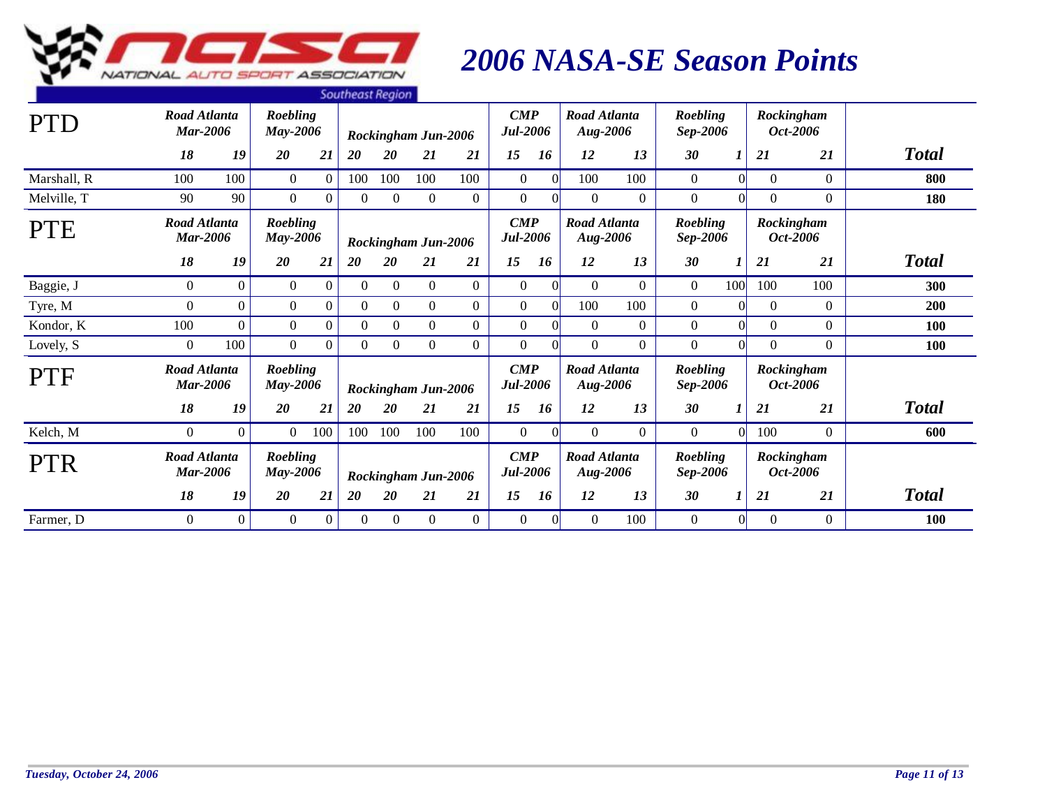

|             |                                        |                |                             |                  | <b>SOUTHERST NEGROT</b> |                  |                     |                |                                       |           |                                 |                |                      |          |            |                 |              |
|-------------|----------------------------------------|----------------|-----------------------------|------------------|-------------------------|------------------|---------------------|----------------|---------------------------------------|-----------|---------------------------------|----------------|----------------------|----------|------------|-----------------|--------------|
| <b>PTD</b>  | Road Atlanta<br>Mar-2006               |                | Roebling<br><b>May-2006</b> |                  |                         |                  | Rockingham Jun-2006 |                | $\boldsymbol{CMP}$<br><b>Jul-2006</b> |           | Road Atlanta<br><b>Aug-2006</b> |                | Roebling<br>Sep-2006 |          | Rockingham | Oct-2006        |              |
|             | 18                                     | 19             | 20                          | 21               | 20                      | 20               | 21                  | 21             | 15                                    | 16        | 12                              | 13             | 30                   | 1        | 21         | 21              | <b>Total</b> |
| Marshall, R | 100                                    | 100            | $\overline{0}$              | $\overline{0}$   | 100                     | 100              | 100                 | 100            | $\overline{0}$                        | $\vert$ 0 | 100                             | 100            | $\overline{0}$       | $\Omega$ | $\Omega$   | $\theta$        | 800          |
| Melville, T | 90                                     | 90             | $\overline{0}$              | $\overline{0}$   | $\overline{0}$          | $\overline{0}$   | $\overline{0}$      | $\overline{0}$ | $\mathbf{0}$                          | 0         | $\overline{0}$                  | $\overline{0}$ | $\boldsymbol{0}$     |          | $\Omega$   | $\overline{0}$  | 180          |
| <b>PTE</b>  | <b>Road Atlanta</b><br><b>Mar-2006</b> |                | Roebling<br><b>May-2006</b> |                  |                         |                  | Rockingham Jun-2006 |                | $\boldsymbol{CMP}$<br><b>Jul-2006</b> |           | Road Atlanta<br><b>Aug-2006</b> |                | Roebling<br>Sep-2006 |          | Rockingham | <i>Oct-2006</i> |              |
|             | 18                                     | 19             | 20                          | 21               | 20                      | 20               | 21                  | 21             | 15                                    | 16        | 12                              | 13             | 30                   | 1        | 21         | 21              | <b>Total</b> |
| Baggie, J   | $\overline{0}$                         | $\overline{0}$ | $\overline{0}$              | $\boldsymbol{0}$ | $\Omega$                | $\mathbf{0}$     | $\overline{0}$      | $\theta$       | $\mathbf{0}$                          | $\vert$ 0 | $\overline{0}$                  | $\Omega$       | $\overline{0}$       | 100      | 100        | 100             | 300          |
| Tyre, M     | $\overline{0}$                         | $\overline{0}$ | $\overline{0}$              | $\overline{0}$   | $\theta$                | $\boldsymbol{0}$ | $\overline{0}$      | $\overline{0}$ | $\mathbf{0}$                          | $\vert$   | 100                             | 100            | $\boldsymbol{0}$     | $\Omega$ | $\Omega$   | $\overline{0}$  | 200          |
| Kondor, K   | 100                                    | $\Omega$       | $\overline{0}$              | $\boldsymbol{0}$ | $\Omega$                | $\theta$         | $\overline{0}$      | $\overline{0}$ | $\mathbf{0}$                          | $\Omega$  | $\overline{0}$                  | $\overline{0}$ | $\boldsymbol{0}$     |          | $\Omega$   | $\overline{0}$  | 100          |
| Lovely, S   | $\Omega$                               | 100            | $\Omega$                    | $\Omega$         | $\theta$                | $\Omega$         | $\Omega$            | $\Omega$       | $\theta$                              |           | $\theta$                        | $\Omega$       | $\Omega$             |          | $\Omega$   | $\Omega$        | 100          |
| <b>PTF</b>  | <b>Road Atlanta</b><br><b>Mar-2006</b> |                | Roebling<br><b>May-2006</b> |                  |                         |                  | Rockingham Jun-2006 |                | $\boldsymbol{CMP}$<br>Jul-2006        |           | Road Atlanta<br><b>Aug-2006</b> |                | Roebling<br>Sep-2006 |          | Rockingham | Oct-2006        |              |
|             | 18                                     | 19             | 20                          | 21               | <b>20</b>               | <b>20</b>        | 21                  | 21             | 15                                    | 16        | 12                              | 13             | 30                   |          | 21         | 21              | <b>Total</b> |
| Kelch, M    | $\overline{0}$                         | $\overline{0}$ | $\overline{0}$              | 100              | 100                     | 100              | 100                 | 100            | $\mathbf{0}$                          | $\vert$ 0 | $\overline{0}$                  | $\Omega$       | $\overline{0}$       | $\Omega$ | 100        | $\overline{0}$  | 600          |
| <b>PTR</b>  | <b>Road Atlanta</b><br><b>Mar-2006</b> |                | Roebling<br><b>May-2006</b> |                  |                         |                  | Rockingham Jun-2006 |                | $\boldsymbol{CMP}$<br>Jul-2006        |           | Road Atlanta<br><b>Aug-2006</b> |                | Roebling<br>Sep-2006 |          | Rockingham | Oct-2006        |              |
|             | 18                                     | 19             | 20                          | 21               | 20                      | 20               | 21                  | 21             | 15                                    | 16        | 12                              | 13             | 30                   | 1        | 21         | 21              | <b>Total</b> |
| Farmer, D   | $\Omega$                               | $\Omega$       | $\overline{0}$              | $\Omega$         | $\Omega$                | $\Omega$         | $\Omega$            | $\Omega$       | $\overline{0}$                        | $\vert$ 0 | $\Omega$                        | 100            | $\overline{0}$       | $\Omega$ | $\Omega$   | $\Omega$        | 100          |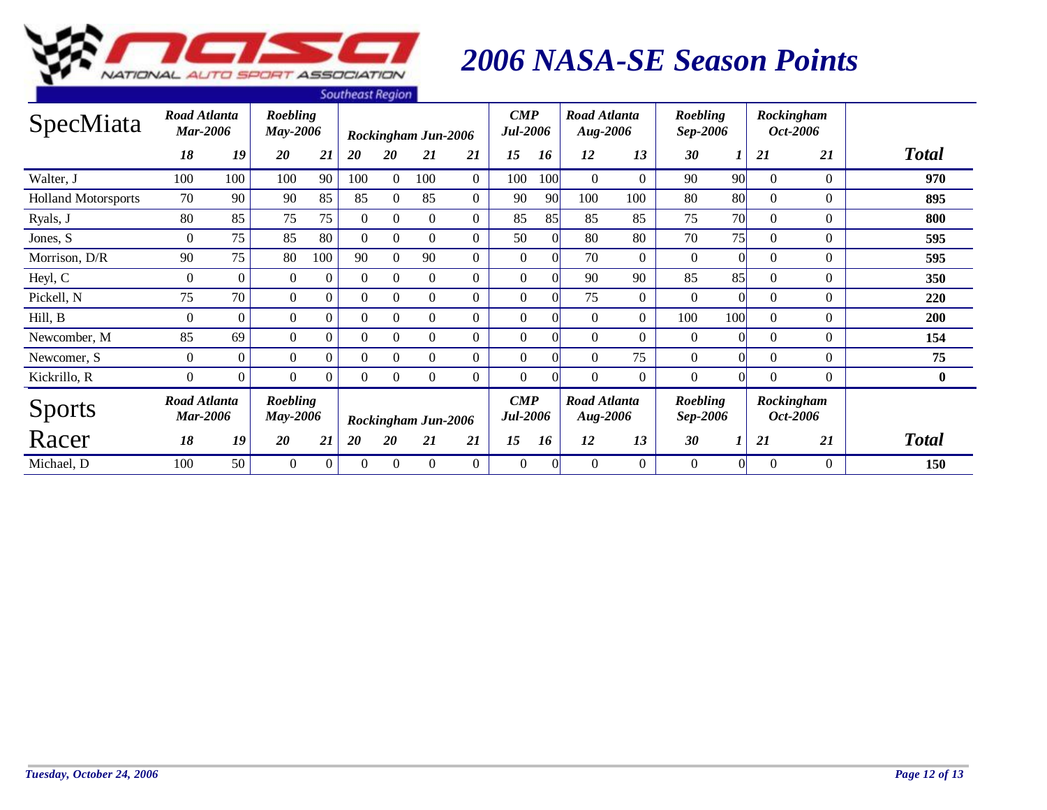

|                            |                                        |                |                                    |                | <b><i><u>JUULIEUJENEUIUL</u></i></b> |                |                            |                |                                       |     |                                 |                |                      |          |          |                               |              |
|----------------------------|----------------------------------------|----------------|------------------------------------|----------------|--------------------------------------|----------------|----------------------------|----------------|---------------------------------------|-----|---------------------------------|----------------|----------------------|----------|----------|-------------------------------|--------------|
| SpecMiata                  | Road Atlanta<br><b>Mar-2006</b>        |                | <b>Roebling</b><br>May-2006        |                |                                      |                | <b>Rockingham Jun-2006</b> |                | $\boldsymbol{CMP}$<br><b>Jul-2006</b> |     | Road Atlanta<br>Aug-2006        |                | Roebling<br>Sep-2006 |          |          | Rockingham<br><i>Oct-2006</i> |              |
|                            | 18                                     | 19             | 20                                 | 21             | 20                                   | 20             | 21                         | 21             | 15                                    | 16  | 12                              | 13             | 30                   |          | 21       | 21                            | <b>Total</b> |
| Walter, J                  | 100                                    | 100            | 100                                | 90             | 100                                  | $\overline{0}$ | 100                        | $\overline{0}$ | 100                                   | 100 | $\Omega$                        | $\overline{0}$ | 90                   | 90       | $\Omega$ | $\Omega$                      | 970          |
| <b>Holland Motorsports</b> | 70                                     | 90             | 90                                 | 85             | 85                                   | $\Omega$       | 85                         | $\overline{0}$ | 90                                    | 90  | 100                             | 100            | 80                   | 80       | $\Omega$ | $\overline{0}$                | 895          |
| Ryals, J                   | 80                                     | 85             | 75                                 | 75             | $\theta$                             | $\theta$       | $\Omega$                   | $\Omega$       | 85                                    | 85  | 85                              | 85             | 75                   | 70       | $\Omega$ | $\Omega$                      | 800          |
| Jones, S                   | $\Omega$                               | 75             | 85                                 | 80             | $\theta$                             | $\theta$       | $\Omega$                   | $\Omega$       | 50                                    |     | 80                              | 80             | 70                   | 75       | $\Omega$ | $\Omega$                      | 595          |
| Morrison, D/R              | 90                                     | 75             | 80                                 | 100            | 90                                   | $\overline{0}$ | 90                         | $\Omega$       | $\overline{0}$                        |     | 70                              | $\Omega$       | $\Omega$             |          | $\Omega$ | $\Omega$                      | 595          |
| Heyl, C                    | $\overline{0}$                         | $\Omega$       | $\overline{0}$                     | $\overline{0}$ | $\Omega$                             | $\mathbf{0}$   | $\theta$                   | $\overline{0}$ | $\overline{0}$                        |     | 90                              | 90             | 85                   | 85       | $\Omega$ | $\overline{0}$                | 350          |
| Pickell, N                 | 75                                     | 70             | $\overline{0}$                     | $\Omega$       | $\Omega$                             | $\Omega$       | $\overline{0}$             | $\Omega$       | $\Omega$                              |     | 75                              | $\Omega$       | $\Omega$             |          | $\Omega$ | $\Omega$                      | 220          |
| Hill, B                    | $\overline{0}$                         | $\Omega$       | $\overline{0}$                     | $\Omega$       | $\Omega$                             | $\Omega$       | $\overline{0}$             | $\Omega$       | $\Omega$                              |     | $\Omega$                        | $\overline{0}$ | 100                  | 100      | $\Omega$ | $\Omega$                      | 200          |
| Newcomber, M               | 85                                     | 69             | $\overline{0}$                     | $\overline{0}$ | 0                                    | $\overline{0}$ | $\theta$                   | $\Omega$       | $\overline{0}$                        |     | $\Omega$                        | $\Omega$       | $\theta$             |          | $\Omega$ | $\overline{0}$                | 154          |
| Newcomer, S                | $\overline{0}$                         | $\overline{0}$ | $\overline{0}$                     | $\overline{0}$ | 0                                    | $\overline{0}$ | $\overline{0}$             | $\overline{0}$ | $\overline{0}$                        |     | $\overline{0}$                  | 75             | $\mathbf{0}$         |          | $\theta$ | $\overline{0}$                | 75           |
| Kickrillo, R               | 0                                      | $\overline{0}$ | $\theta$                           | $\overline{0}$ | $\theta$                             | $\theta$       | $\theta$                   | $\Omega$       | $\Omega$                              |     | $\Omega$                        | $\Omega$       | $\Omega$             |          | $\Omega$ | $\overline{0}$                | $\bf{0}$     |
| <b>Sports</b>              | <b>Road Atlanta</b><br><b>Mar-2006</b> |                | <b>Roebling</b><br><b>May-2006</b> |                |                                      |                | Rockingham Jun-2006        |                | $\boldsymbol{CMP}$<br><b>Jul-2006</b> |     | Road Atlanta<br><b>Aug-2006</b> |                | Roebling<br>Sep-2006 |          |          | Rockingham<br><i>Oct-2006</i> |              |
| Racer                      | 18                                     | 19             | 20                                 | 21             | 20                                   | 20             | 21                         | 21             | 15                                    | 16  | 12                              | 13             | 30                   |          | 21       | 21                            | <b>Total</b> |
| Michael, D                 | 100                                    | 50             | $\boldsymbol{0}$                   | $\overline{0}$ | $\Omega$                             | $\Omega$       | $\overline{0}$             | $\Omega$       | $\overline{0}$                        |     | $\Omega$                        | $\overline{0}$ | $\mathbf{0}$         | $\Omega$ | $\Omega$ | $\Omega$                      | 150          |